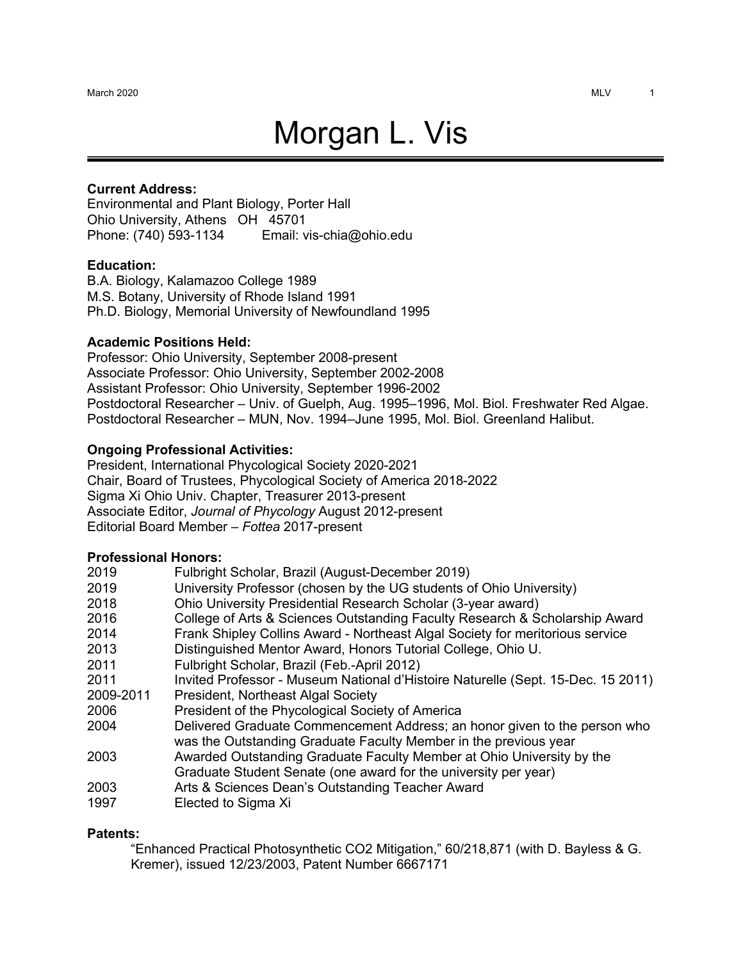# Morgan L. Vis

## **Current Address:**

Environmental and Plant Biology, Porter Hall Ohio University, Athens OH 45701 Phone: (740) 593-1134 Email: vis-chia@ohio.edu

#### **Education:**

B.A. Biology, Kalamazoo College 1989 M.S. Botany, University of Rhode Island 1991 Ph.D. Biology, Memorial University of Newfoundland 1995

#### **Academic Positions Held:**

Professor: Ohio University, September 2008-present Associate Professor: Ohio University, September 2002-2008 Assistant Professor: Ohio University, September 1996-2002 Postdoctoral Researcher – Univ. of Guelph, Aug. 1995–1996, Mol. Biol. Freshwater Red Algae. Postdoctoral Researcher – MUN, Nov. 1994–June 1995, Mol. Biol. Greenland Halibut.

#### **Ongoing Professional Activities:**

President, International Phycological Society 2020-2021 Chair, Board of Trustees, Phycological Society of America 2018-2022 Sigma Xi Ohio Univ. Chapter, Treasurer 2013-present Associate Editor, *Journal of Phycology* August 2012-present Editorial Board Member – *Fottea* 2017-present

#### **Professional Honors:**

| 2019      | Fulbright Scholar, Brazil (August-December 2019)                                 |
|-----------|----------------------------------------------------------------------------------|
| 2019      | University Professor (chosen by the UG students of Ohio University)              |
| 2018      | Ohio University Presidential Research Scholar (3-year award)                     |
| 2016      | College of Arts & Sciences Outstanding Faculty Research & Scholarship Award      |
| 2014      | Frank Shipley Collins Award - Northeast Algal Society for meritorious service    |
| 2013      | Distinguished Mentor Award, Honors Tutorial College, Ohio U.                     |
| 2011      | Fulbright Scholar, Brazil (Feb.-April 2012)                                      |
| 2011      | Invited Professor - Museum National d'Histoire Naturelle (Sept. 15-Dec. 15 2011) |
| 2009-2011 | President, Northeast Algal Society                                               |
| 2006      | President of the Phycological Society of America                                 |
| 2004      | Delivered Graduate Commencement Address; an honor given to the person who        |
|           | was the Outstanding Graduate Faculty Member in the previous year                 |
| 2003      | Awarded Outstanding Graduate Faculty Member at Ohio University by the            |
|           | Graduate Student Senate (one award for the university per year)                  |
| 2003      | Arts & Sciences Dean's Outstanding Teacher Award                                 |
| 1007      | $F_{\alpha\beta}$ and the Cinner Vi                                              |

#### 1997 Elected to Sigma Xi

#### **Patents:**

"Enhanced Practical Photosynthetic CO2 Mitigation," 60/218,871 (with D. Bayless & G. Kremer), issued 12/23/2003, Patent Number 6667171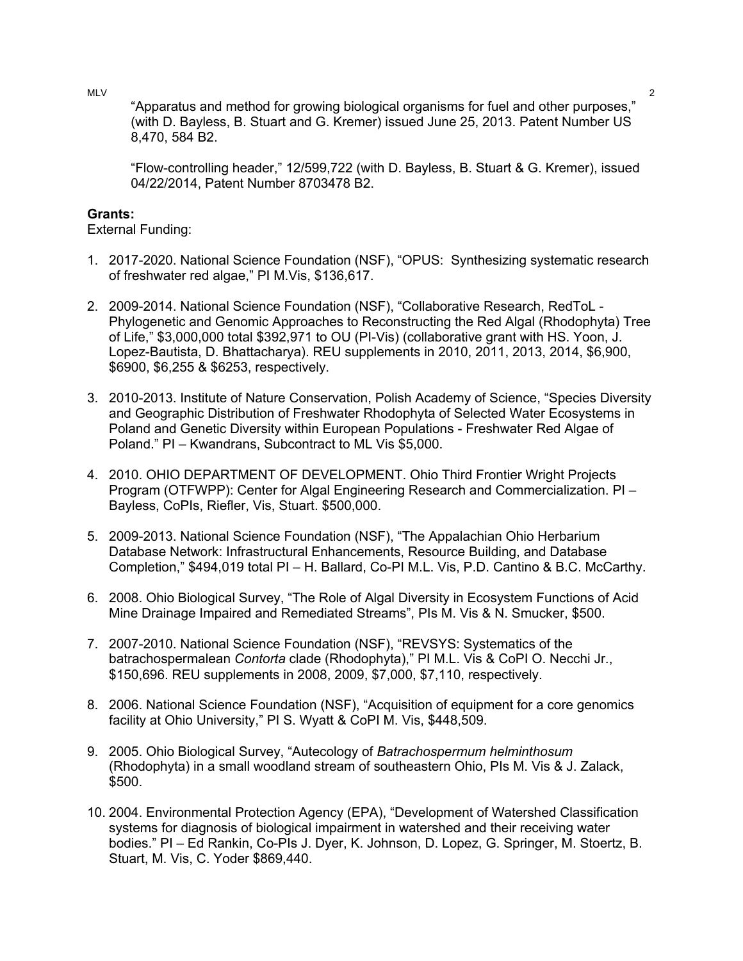"Apparatus and method for growing biological organisms for fuel and other purposes," (with D. Bayless, B. Stuart and G. Kremer) issued June 25, 2013. Patent Number US 8,470, 584 B2.

"Flow-controlling header," 12/599,722 (with D. Bayless, B. Stuart & G. Kremer), issued 04/22/2014, Patent Number 8703478 B2.

## **Grants:**

External Funding:

- 1. 2017-2020. National Science Foundation (NSF), "OPUS: Synthesizing systematic research of freshwater red algae," PI M.Vis, \$136,617.
- 2. 2009-2014. National Science Foundation (NSF), "Collaborative Research, RedToL Phylogenetic and Genomic Approaches to Reconstructing the Red Algal (Rhodophyta) Tree of Life," \$3,000,000 total \$392,971 to OU (PI-Vis) (collaborative grant with HS. Yoon, J. Lopez-Bautista, D. Bhattacharya). REU supplements in 2010, 2011, 2013, 2014, \$6,900, \$6900, \$6,255 & \$6253, respectively.
- 3. 2010-2013. Institute of Nature Conservation, Polish Academy of Science, "Species Diversity and Geographic Distribution of Freshwater Rhodophyta of Selected Water Ecosystems in Poland and Genetic Diversity within European Populations - Freshwater Red Algae of Poland." PI – Kwandrans, Subcontract to ML Vis \$5,000.
- 4. 2010. OHIO DEPARTMENT OF DEVELOPMENT. Ohio Third Frontier Wright Projects Program (OTFWPP): Center for Algal Engineering Research and Commercialization. PI – Bayless, CoPIs, Riefler, Vis, Stuart. \$500,000.
- 5. 2009-2013. National Science Foundation (NSF), "The Appalachian Ohio Herbarium Database Network: Infrastructural Enhancements, Resource Building, and Database Completion," \$494,019 total PI – H. Ballard, Co-PI M.L. Vis, P.D. Cantino & B.C. McCarthy.
- 6. 2008. Ohio Biological Survey, "The Role of Algal Diversity in Ecosystem Functions of Acid Mine Drainage Impaired and Remediated Streams", PIs M. Vis & N. Smucker, \$500.
- 7. 2007-2010. National Science Foundation (NSF), "REVSYS: Systematics of the batrachospermalean *Contorta* clade (Rhodophyta)," PI M.L. Vis & CoPI O. Necchi Jr., \$150,696. REU supplements in 2008, 2009, \$7,000, \$7,110, respectively.
- 8. 2006. National Science Foundation (NSF), "Acquisition of equipment for a core genomics facility at Ohio University," PI S. Wyatt & CoPI M. Vis, \$448,509.
- 9. 2005. Ohio Biological Survey, "Autecology of *Batrachospermum helminthosum* (Rhodophyta) in a small woodland stream of southeastern Ohio, PIs M. Vis & J. Zalack, \$500.
- 10. 2004. Environmental Protection Agency (EPA), "Development of Watershed Classification systems for diagnosis of biological impairment in watershed and their receiving water bodies." PI – Ed Rankin, Co-PIs J. Dyer, K. Johnson, D. Lopez, G. Springer, M. Stoertz, B. Stuart, M. Vis, C. Yoder \$869,440.

 $M$ LV  $\sim$  2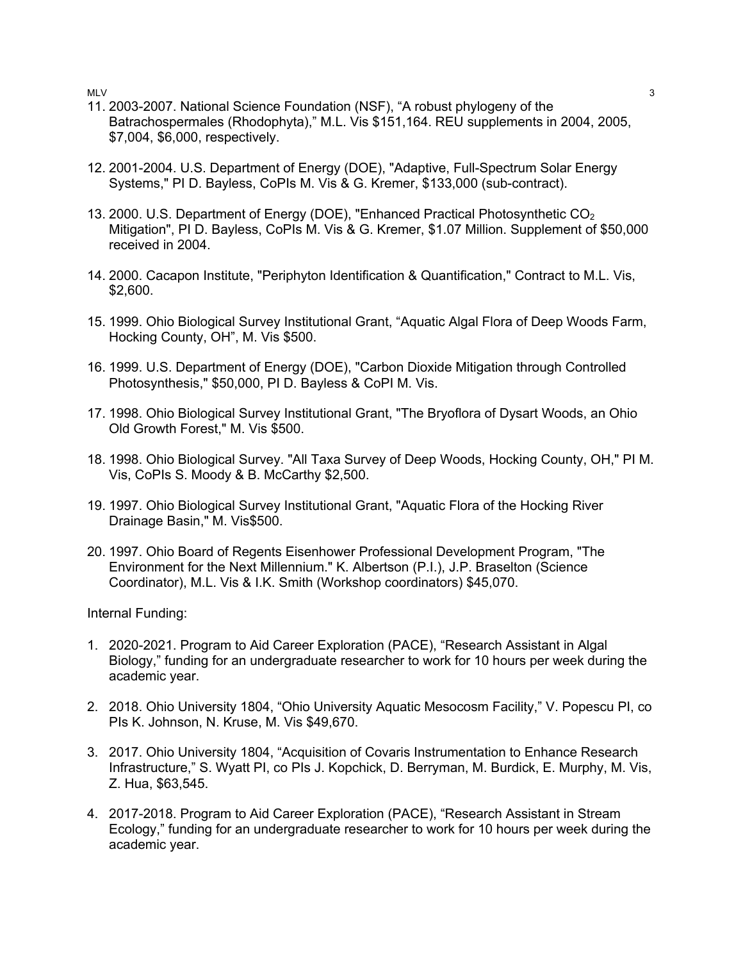- 11. 2003-2007. National Science Foundation (NSF), "A robust phylogeny of the Batrachospermales (Rhodophyta)," M.L. Vis \$151,164. REU supplements in 2004, 2005, \$7,004, \$6,000, respectively.
- 12. 2001-2004. U.S. Department of Energy (DOE), "Adaptive, Full-Spectrum Solar Energy Systems," PI D. Bayless, CoPIs M. Vis & G. Kremer, \$133,000 (sub-contract).
- 13. 2000. U.S. Department of Energy (DOE), "Enhanced Practical Photosynthetic CO<sub>2</sub> Mitigation", PI D. Bayless, CoPIs M. Vis & G. Kremer, \$1.07 Million. Supplement of \$50,000 received in 2004.
- 14. 2000. Cacapon Institute, "Periphyton Identification & Quantification," Contract to M.L. Vis, \$2,600.
- 15. 1999. Ohio Biological Survey Institutional Grant, "Aquatic Algal Flora of Deep Woods Farm, Hocking County, OH", M. Vis \$500.
- 16. 1999. U.S. Department of Energy (DOE), "Carbon Dioxide Mitigation through Controlled Photosynthesis," \$50,000, PI D. Bayless & CoPI M. Vis.
- 17. 1998. Ohio Biological Survey Institutional Grant, "The Bryoflora of Dysart Woods, an Ohio Old Growth Forest," M. Vis \$500.
- 18. 1998. Ohio Biological Survey. "All Taxa Survey of Deep Woods, Hocking County, OH," PI M. Vis, CoPIs S. Moody & B. McCarthy \$2,500.
- 19. 1997. Ohio Biological Survey Institutional Grant, "Aquatic Flora of the Hocking River Drainage Basin," M. Vis\$500.
- 20. 1997. Ohio Board of Regents Eisenhower Professional Development Program, "The Environment for the Next Millennium." K. Albertson (P.I.), J.P. Braselton (Science Coordinator), M.L. Vis & I.K. Smith (Workshop coordinators) \$45,070.

Internal Funding:

- 1. 2020-2021. Program to Aid Career Exploration (PACE), "Research Assistant in Algal Biology," funding for an undergraduate researcher to work for 10 hours per week during the academic year.
- 2. 2018. Ohio University 1804, "Ohio University Aquatic Mesocosm Facility," V. Popescu PI, co PIs K. Johnson, N. Kruse, M. Vis \$49,670.
- 3. 2017. Ohio University 1804, "Acquisition of Covaris Instrumentation to Enhance Research Infrastructure," S. Wyatt PI, co PIs J. Kopchick, D. Berryman, M. Burdick, E. Murphy, M. Vis, Z. Hua, \$63,545.
- 4. 2017-2018. Program to Aid Career Exploration (PACE), "Research Assistant in Stream Ecology," funding for an undergraduate researcher to work for 10 hours per week during the academic year.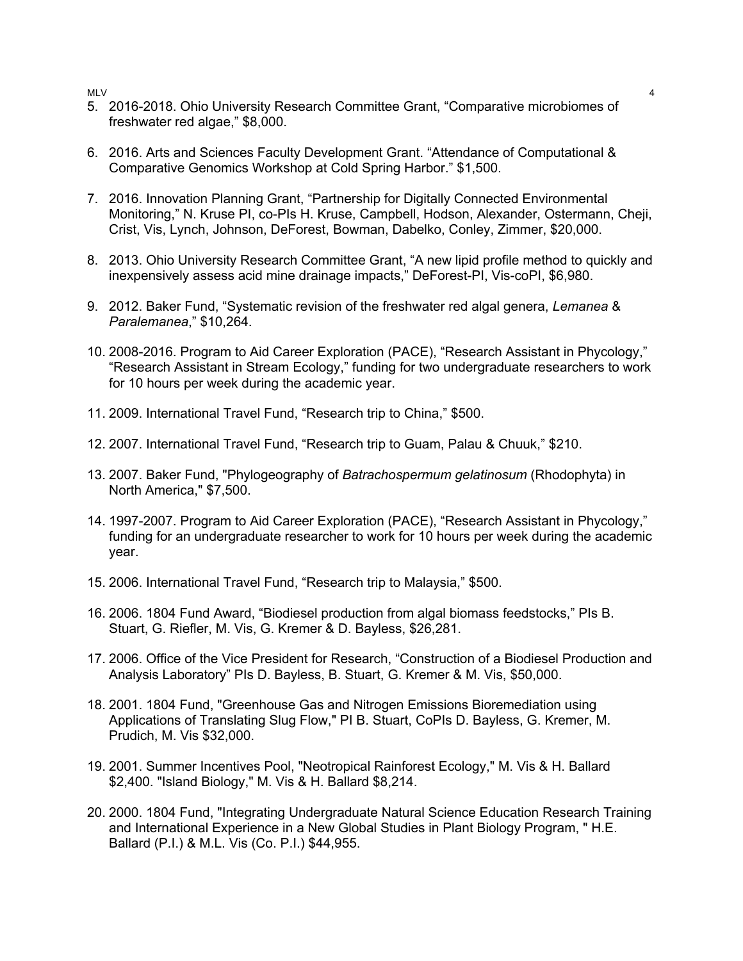$M<sub>L</sub>$  and  $M<sub>L</sub>$  and  $M<sub>L</sub>$  and  $M<sub>L</sub>$  and  $M<sub>L</sub>$  and  $M<sub>L</sub>$  and  $M<sub>L</sub>$  and  $M<sub>L</sub>$  and  $M<sub>L</sub>$  and  $M<sub>L</sub>$  and  $M<sub>L</sub>$  and  $M<sub>L</sub>$  and  $M<sub>L</sub>$  and  $M<sub>L</sub>$  and  $M<sub>L</sub>$  and  $M<sub>L</sub>$  a

- 5. 2016-2018. Ohio University Research Committee Grant, "Comparative microbiomes of freshwater red algae," \$8,000.
- 6. 2016. Arts and Sciences Faculty Development Grant. "Attendance of Computational & Comparative Genomics Workshop at Cold Spring Harbor." \$1,500.
- 7. 2016. Innovation Planning Grant, "Partnership for Digitally Connected Environmental Monitoring," N. Kruse PI, co-PIs H. Kruse, Campbell, Hodson, Alexander, Ostermann, Cheji, Crist, Vis, Lynch, Johnson, DeForest, Bowman, Dabelko, Conley, Zimmer, \$20,000.
- 8. 2013. Ohio University Research Committee Grant, "A new lipid profile method to quickly and inexpensively assess acid mine drainage impacts," DeForest-PI, Vis-coPI, \$6,980.
- 9. 2012. Baker Fund, "Systematic revision of the freshwater red algal genera, *Lemanea* & *Paralemanea*," \$10,264.
- 10. 2008-2016. Program to Aid Career Exploration (PACE), "Research Assistant in Phycology," "Research Assistant in Stream Ecology," funding for two undergraduate researchers to work for 10 hours per week during the academic year.
- 11. 2009. International Travel Fund, "Research trip to China," \$500.
- 12. 2007. International Travel Fund, "Research trip to Guam, Palau & Chuuk," \$210.
- 13. 2007. Baker Fund, "Phylogeography of *Batrachospermum gelatinosum* (Rhodophyta) in North America," \$7,500.
- 14. 1997-2007. Program to Aid Career Exploration (PACE), "Research Assistant in Phycology," funding for an undergraduate researcher to work for 10 hours per week during the academic year.
- 15. 2006. International Travel Fund, "Research trip to Malaysia," \$500.
- 16. 2006. 1804 Fund Award, "Biodiesel production from algal biomass feedstocks," PIs B. Stuart, G. Riefler, M. Vis, G. Kremer & D. Bayless, \$26,281.
- 17. 2006. Office of the Vice President for Research, "Construction of a Biodiesel Production and Analysis Laboratory" PIs D. Bayless, B. Stuart, G. Kremer & M. Vis, \$50,000.
- 18. 2001. 1804 Fund, "Greenhouse Gas and Nitrogen Emissions Bioremediation using Applications of Translating Slug Flow," PI B. Stuart, CoPIs D. Bayless, G. Kremer, M. Prudich, M. Vis \$32,000.
- 19. 2001. Summer Incentives Pool, "Neotropical Rainforest Ecology," M. Vis & H. Ballard \$2,400. "Island Biology," M. Vis & H. Ballard \$8,214.
- 20. 2000. 1804 Fund, "Integrating Undergraduate Natural Science Education Research Training and International Experience in a New Global Studies in Plant Biology Program, " H.E. Ballard (P.I.) & M.L. Vis (Co. P.I.) \$44,955.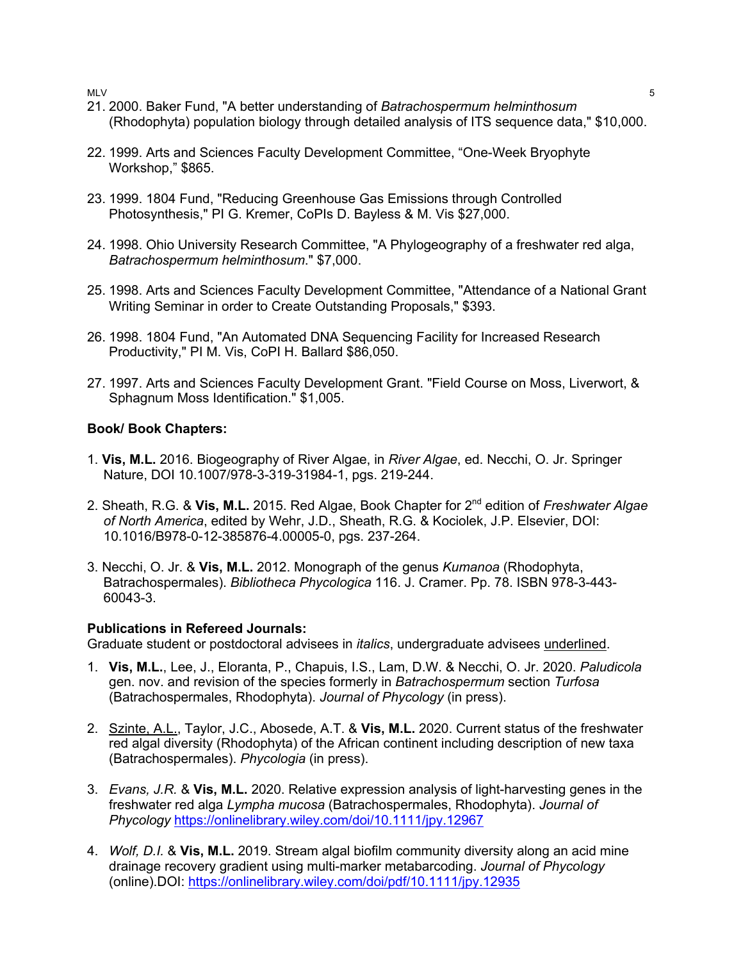- 21. 2000. Baker Fund, "A better understanding of *Batrachospermum helminthosum* (Rhodophyta) population biology through detailed analysis of ITS sequence data," \$10,000.
- 22. 1999. Arts and Sciences Faculty Development Committee, "One-Week Bryophyte Workshop," \$865.
- 23. 1999. 1804 Fund, "Reducing Greenhouse Gas Emissions through Controlled Photosynthesis," PI G. Kremer, CoPIs D. Bayless & M. Vis \$27,000.
- 24. 1998. Ohio University Research Committee, "A Phylogeography of a freshwater red alga, *Batrachospermum helminthosum*." \$7,000.
- 25. 1998. Arts and Sciences Faculty Development Committee, "Attendance of a National Grant Writing Seminar in order to Create Outstanding Proposals," \$393.
- 26. 1998. 1804 Fund, "An Automated DNA Sequencing Facility for Increased Research Productivity," PI M. Vis, CoPI H. Ballard \$86,050.
- 27. 1997. Arts and Sciences Faculty Development Grant. "Field Course on Moss, Liverwort, & Sphagnum Moss Identification." \$1,005.

## **Book/ Book Chapters:**

- 1. **Vis, M.L.** 2016. Biogeography of River Algae, in *River Algae*, ed. Necchi, O. Jr. Springer Nature, DOI 10.1007/978-3-319-31984-1, pgs. 219-244.
- 2. Sheath, R.G. & **Vis, M.L.** 2015. Red Algae, Book Chapter for 2nd edition of *Freshwater Algae of North America*, edited by Wehr, J.D., Sheath, R.G. & Kociolek, J.P. Elsevier, DOI: 10.1016/B978-0-12-385876-4.00005-0, pgs. 237-264.
- 3. Necchi, O. Jr. & **Vis, M.L.** 2012. Monograph of the genus *Kumanoa* (Rhodophyta, Batrachospermales). *Bibliotheca Phycologica* 116. J. Cramer. Pp. 78. ISBN 978-3-443- 60043-3.

#### **Publications in Refereed Journals:**

Graduate student or postdoctoral advisees in *italics*, undergraduate advisees underlined.

- 1. **Vis, M.L.**, Lee, J., Eloranta, P., Chapuis, I.S., Lam, D.W. & Necchi, O. Jr. 2020. *Paludicola* gen. nov. and revision of the species formerly in *Batrachospermum* section *Turfosa* (Batrachospermales, Rhodophyta). *Journal of Phycology* (in press).
- 2. Szinte, A.L., Taylor, J.C., Abosede, A.T. & **Vis, M.L.** 2020. Current status of the freshwater red algal diversity (Rhodophyta) of the African continent including description of new taxa (Batrachospermales). *Phycologia* (in press).
- 3. *Evans, J.R.* & **Vis, M.L.** 2020. Relative expression analysis of light-harvesting genes in the freshwater red alga *Lympha mucosa* (Batrachospermales, Rhodophyta). *Journal of Phycology* https://onlinelibrary.wiley.com/doi/10.1111/jpy.12967
- 4. *Wolf, D.I.* & **Vis, M.L.** 2019. Stream algal biofilm community diversity along an acid mine drainage recovery gradient using multi-marker metabarcoding. *Journal of Phycology* (online).DOI: https://onlinelibrary.wiley.com/doi/pdf/10.1111/jpy.12935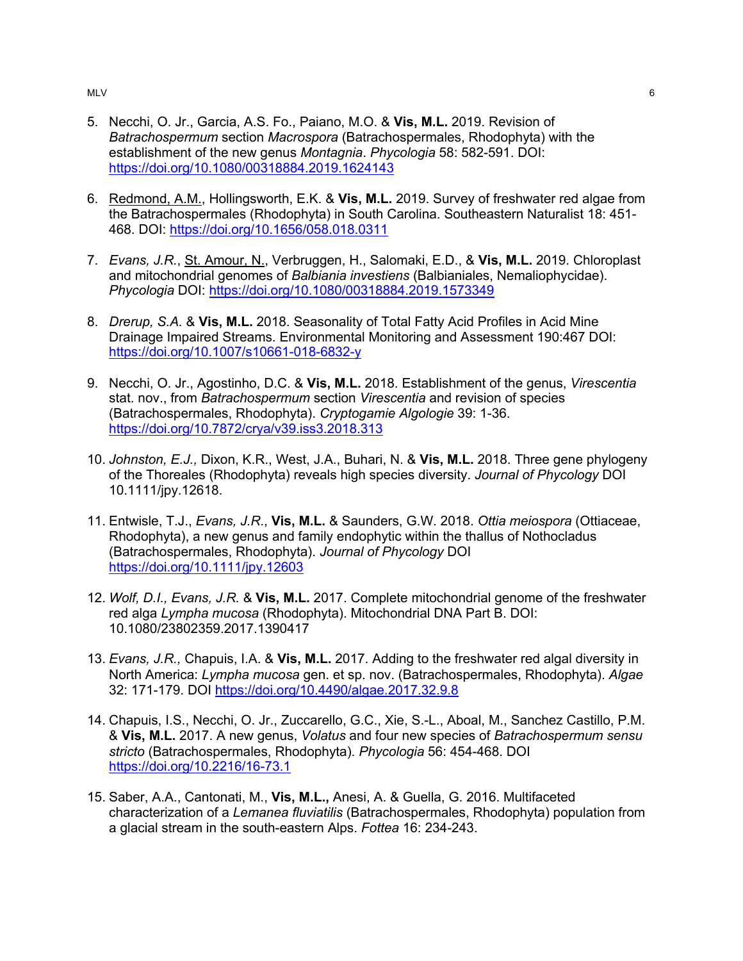- 5. Necchi, O. Jr., Garcia, A.S. Fo., Paiano, M.O. & **Vis, M.L.** 2019. Revision of *Batrachospermum* section *Macrospora* (Batrachospermales, Rhodophyta) with the establishment of the new genus *Montagnia*. *Phycologia* 58: 582-591. DOI: https://doi.org/10.1080/00318884.2019.1624143
- 6. Redmond, A.M., Hollingsworth, E.K. & **Vis, M.L.** 2019. Survey of freshwater red algae from the Batrachospermales (Rhodophyta) in South Carolina. Southeastern Naturalist 18: 451- 468. DOI: https://doi.org/10.1656/058.018.0311
- 7. *Evans, J.R.*, St. Amour, N., Verbruggen, H., Salomaki, E.D., & **Vis, M.L.** 2019. Chloroplast and mitochondrial genomes of *Balbiania investiens* (Balbianiales, Nemaliophycidae). *Phycologia* DOI: https://doi.org/10.1080/00318884.2019.1573349
- 8. *Drerup, S.A.* & **Vis, M.L.** 2018. Seasonality of Total Fatty Acid Profiles in Acid Mine Drainage Impaired Streams. Environmental Monitoring and Assessment 190:467 DOI: https://doi.org/10.1007/s10661-018-6832-y
- 9. Necchi, O. Jr., Agostinho, D.C. & **Vis, M.L.** 2018. Establishment of the genus, *Virescentia* stat. nov., from *Batrachospermum* section *Virescentia* and revision of species (Batrachospermales, Rhodophyta). *Cryptogamie Algologie* 39: 1-36. https://doi.org/10.7872/crya/v39.iss3.2018.313
- 10. *Johnston, E.J.,* Dixon, K.R., West, J.A., Buhari, N. & **Vis, M.L.** 2018. Three gene phylogeny of the Thoreales (Rhodophyta) reveals high species diversity. *Journal of Phycology* DOI 10.1111/jpy.12618.
- 11. Entwisle, T.J., *Evans, J.R*., **Vis, M.L.** & Saunders, G.W. 2018. *Ottia meiospora* (Ottiaceae, Rhodophyta), a new genus and family endophytic within the thallus of Nothocladus (Batrachospermales, Rhodophyta). *Journal of Phycology* DOI https://doi.org/10.1111/jpy.12603
- 12. *Wolf, D.I., Evans, J.R.* & **Vis, M.L.** 2017. Complete mitochondrial genome of the freshwater red alga *Lympha mucosa* (Rhodophyta). Mitochondrial DNA Part B. DOI: 10.1080/23802359.2017.1390417
- 13. *Evans, J.R.,* Chapuis, I.A. & **Vis, M.L.** 2017. Adding to the freshwater red algal diversity in North America: *Lympha mucosa* gen. et sp. nov. (Batrachospermales, Rhodophyta). *Algae* 32: 171-179. DOI https://doi.org/10.4490/algae.2017.32.9.8
- 14. Chapuis, I.S., Necchi, O. Jr., Zuccarello, G.C., Xie, S.-L., Aboal, M., Sanchez Castillo, P.M. & **Vis, M.L.** 2017. A new genus, *Volatus* and four new species of *Batrachospermum sensu stricto* (Batrachospermales, Rhodophyta). *Phycologia* 56: 454-468. DOI https://doi.org/10.2216/16-73.1
- 15. Saber, A.A., Cantonati, M., **Vis, M.L.,** Anesi, A. & Guella, G. 2016. Multifaceted characterization of a *Lemanea fluviatilis* (Batrachospermales, Rhodophyta) population from a glacial stream in the south-eastern Alps. *Fottea* 16: 234-243.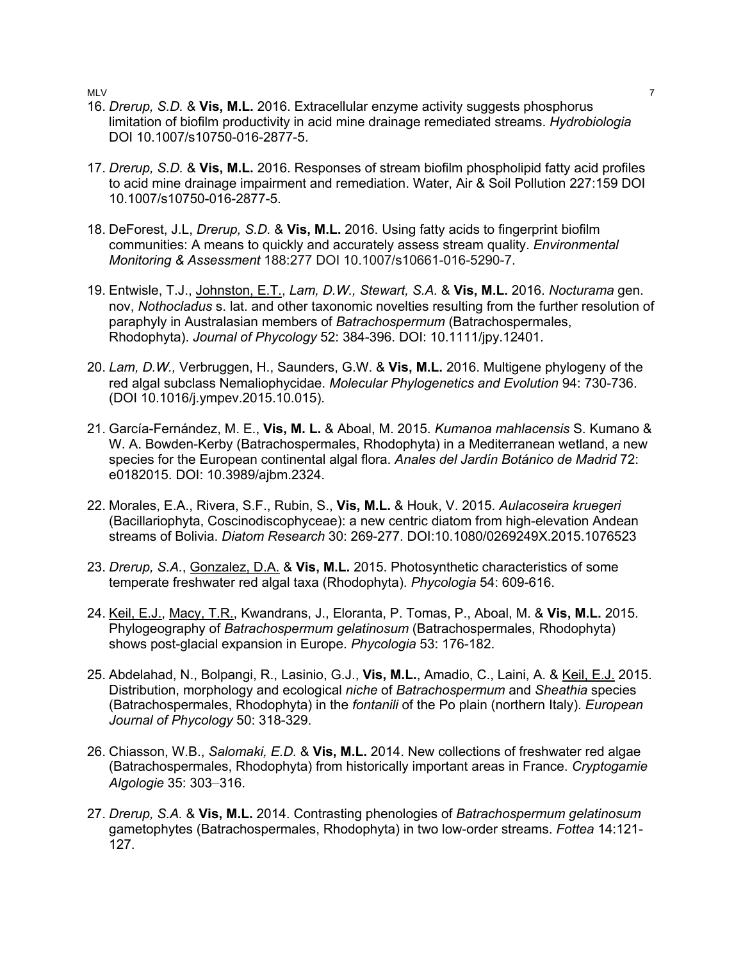$M$ LV  $\sim$  7

- 16. *Drerup, S.D.* & **Vis, M.L.** 2016. Extracellular enzyme activity suggests phosphorus limitation of biofilm productivity in acid mine drainage remediated streams. *Hydrobiologia* DOI 10.1007/s10750-016-2877-5.
- 17. *Drerup, S.D.* & **Vis, M.L.** 2016. Responses of stream biofilm phospholipid fatty acid profiles to acid mine drainage impairment and remediation. Water, Air & Soil Pollution 227:159 DOI 10.1007/s10750-016-2877-5.
- 18. DeForest, J.L, *Drerup, S.D.* & **Vis, M.L.** 2016. Using fatty acids to fingerprint biofilm communities: A means to quickly and accurately assess stream quality. *Environmental Monitoring & Assessment* 188:277 DOI 10.1007/s10661-016-5290-7.
- 19. Entwisle, T.J., Johnston, E.T., *Lam, D.W., Stewart, S.A.* & **Vis, M.L.** 2016. *Nocturama* gen. nov, *Nothocladus* s. lat. and other taxonomic novelties resulting from the further resolution of paraphyly in Australasian members of *Batrachospermum* (Batrachospermales, Rhodophyta). *Journal of Phycology* 52: 384-396. DOI: 10.1111/jpy.12401.
- 20. *Lam, D.W.,* Verbruggen, H., Saunders, G.W. & **Vis, M.L.** 2016. Multigene phylogeny of the red algal subclass Nemaliophycidae. *Molecular Phylogenetics and Evolution* 94: 730-736. (DOI 10.1016/j.ympev.2015.10.015).
- 21. García-Fernández, M. E., **Vis, M. L.** & Aboal, M. 2015. *Kumanoa mahlacensis* S. Kumano & W. A. Bowden-Kerby (Batrachospermales, Rhodophyta) in a Mediterranean wetland, a new species for the European continental algal flora. *Anales del Jardín Botánico de Madrid* 72: e0182015. DOI: 10.3989/ajbm.2324.
- 22. Morales, E.A., Rivera, S.F., Rubin, S., **Vis, M.L.** & Houk, V. 2015. *Aulacoseira kruegeri* (Bacillariophyta, Coscinodiscophyceae): a new centric diatom from high-elevation Andean streams of Bolivia. *Diatom Research* 30: 269-277. DOI:10.1080/0269249X.2015.1076523
- 23. *Drerup, S.A.*, Gonzalez, D.A. & **Vis, M.L.** 2015. Photosynthetic characteristics of some temperate freshwater red algal taxa (Rhodophyta). *Phycologia* 54: 609-616.
- 24. Keil, E.J., Macy, T.R., Kwandrans, J., Eloranta, P. Tomas, P., Aboal, M. & **Vis, M.L.** 2015. Phylogeography of *Batrachospermum gelatinosum* (Batrachospermales, Rhodophyta) shows post-glacial expansion in Europe. *Phycologia* 53: 176-182.
- 25. Abdelahad, N., Bolpangi, R., Lasinio, G.J., **Vis, M.L.**, Amadio, C., Laini, A. & Keil, E.J. 2015. Distribution, morphology and ecological *niche* of *Batrachospermum* and *Sheathia* species (Batrachospermales, Rhodophyta) in the *fontanili* of the Po plain (northern Italy). *European Journal of Phycology* 50: 318-329.
- 26. Chiasson, W.B., *Salomaki, E.D.* & **Vis, M.L.** 2014. New collections of freshwater red algae (Batrachospermales, Rhodophyta) from historically important areas in France. *Cryptogamie Algologie* 35: 303–316.
- 27. *Drerup, S.A.* & **Vis, M.L.** 2014. Contrasting phenologies of *Batrachospermum gelatinosum* gametophytes (Batrachospermales, Rhodophyta) in two low-order streams. *Fottea* 14:121- 127.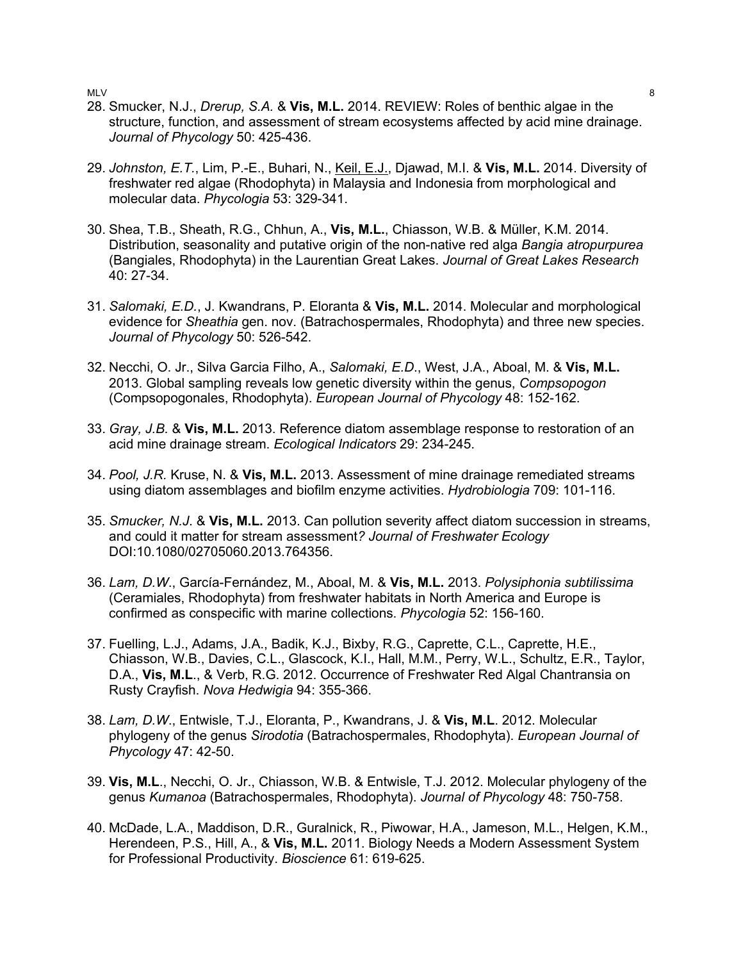- 28. Smucker, N.J., *Drerup, S.A.* & **Vis, M.L.** 2014. REVIEW: Roles of benthic algae in the structure, function, and assessment of stream ecosystems affected by acid mine drainage. *Journal of Phycology* 50: 425-436.
- 29. *Johnston, E.T.*, Lim, P.-E., Buhari, N., Keil, E.J., Djawad, M.I. & **Vis, M.L.** 2014. Diversity of freshwater red algae (Rhodophyta) in Malaysia and Indonesia from morphological and molecular data. *Phycologia* 53: 329-341.
- 30. Shea, T.B., Sheath, R.G., Chhun, A., **Vis, M.L.**, Chiasson, W.B. & Müller, K.M. 2014. Distribution, seasonality and putative origin of the non-native red alga *Bangia atropurpurea* (Bangiales, Rhodophyta) in the Laurentian Great Lakes. *Journal of Great Lakes Research* 40: 27-34.
- 31. *Salomaki, E.D.*, J. Kwandrans, P. Eloranta & **Vis, M.L.** 2014. Molecular and morphological evidence for *Sheathia* gen. nov. (Batrachospermales, Rhodophyta) and three new species. *Journal of Phycology* 50: 526-542.
- 32. Necchi, O. Jr., Silva Garcia Filho, A., *Salomaki, E.D*., West, J.A., Aboal, M. & **Vis, M.L.** 2013. Global sampling reveals low genetic diversity within the genus, *Compsopogon* (Compsopogonales, Rhodophyta). *European Journal of Phycology* 48: 152-162.
- 33. *Gray, J.B.* & **Vis, M.L.** 2013. Reference diatom assemblage response to restoration of an acid mine drainage stream. *Ecological Indicators* 29: 234-245.
- 34. *Pool, J.R.* Kruse, N. & **Vis, M.L.** 2013. Assessment of mine drainage remediated streams using diatom assemblages and biofilm enzyme activities. *Hydrobiologia* 709: 101-116.
- 35. *Smucker, N.J*. & **Vis, M.L.** 2013. Can pollution severity affect diatom succession in streams, and could it matter for stream assessment*? Journal of Freshwater Ecology* DOI:10.1080/02705060.2013.764356.
- 36. *Lam, D.W*., García-Fernández, M., Aboal, M. & **Vis, M.L.** 2013. *Polysiphonia subtilissima* (Ceramiales, Rhodophyta) from freshwater habitats in North America and Europe is confirmed as conspecific with marine collections. *Phycologia* 52: 156-160.
- 37. Fuelling, L.J., Adams, J.A., Badik, K.J., Bixby, R.G., Caprette, C.L., Caprette, H.E., Chiasson, W.B., Davies, C.L., Glascock, K.I., Hall, M.M., Perry, W.L., Schultz, E.R., Taylor, D.A., **Vis, M.L**., & Verb, R.G. 2012. Occurrence of Freshwater Red Algal Chantransia on Rusty Crayfish. *Nova Hedwigia* 94: 355-366.
- 38. *Lam, D.W*., Entwisle, T.J., Eloranta, P., Kwandrans, J. & **Vis, M.L**. 2012. Molecular phylogeny of the genus *Sirodotia* (Batrachospermales, Rhodophyta). *European Journal of Phycology* 47: 42-50.
- 39. **Vis, M.L**., Necchi, O. Jr., Chiasson, W.B. & Entwisle, T.J. 2012. Molecular phylogeny of the genus *Kumanoa* (Batrachospermales, Rhodophyta). *Journal of Phycology* 48: 750-758.
- 40. McDade, L.A., Maddison, D.R., Guralnick, R., Piwowar, H.A., Jameson, M.L., Helgen, K.M., Herendeen, P.S., Hill, A., & **Vis, M.L.** 2011. Biology Needs a Modern Assessment System for Professional Productivity. *Bioscience* 61: 619-625.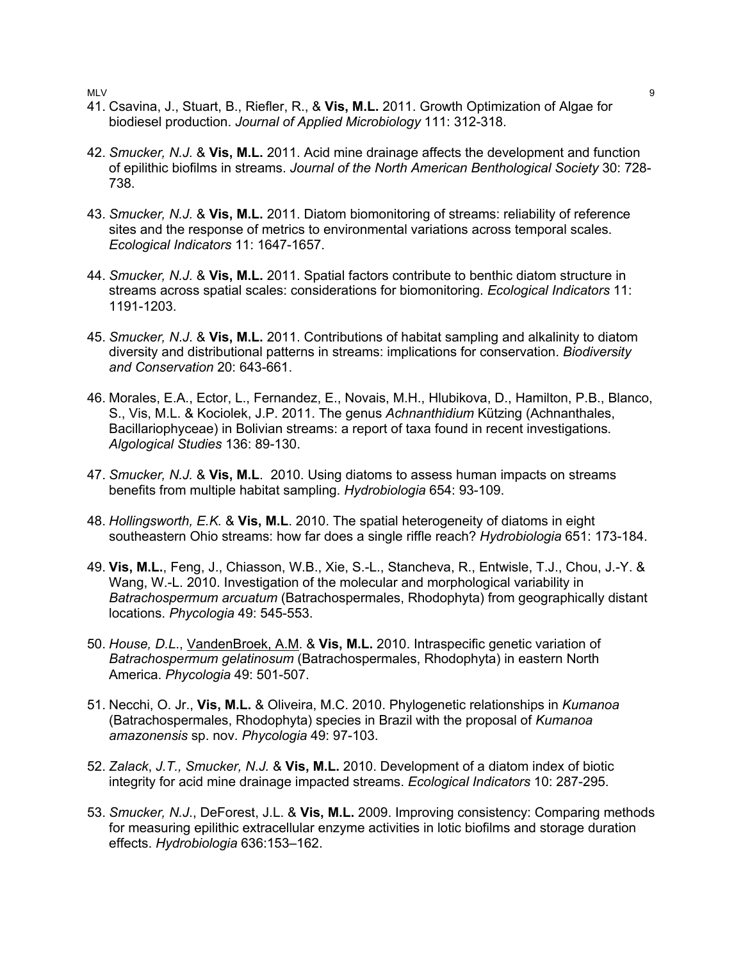- 41. Csavina, J., Stuart, B., Riefler, R., & **Vis, M.L.** 2011. Growth Optimization of Algae for biodiesel production. *Journal of Applied Microbiology* 111: 312-318.
- 42. *Smucker, N.J.* & **Vis, M.L.** 2011. Acid mine drainage affects the development and function of epilithic biofilms in streams. *Journal of the North American Benthological Society* 30: 728- 738.
- 43. *Smucker, N.J.* & **Vis, M.L.** 2011. Diatom biomonitoring of streams: reliability of reference sites and the response of metrics to environmental variations across temporal scales. *Ecological Indicators* 11: 1647-1657.
- 44. *Smucker, N.J.* & **Vis, M.L.** 2011. Spatial factors contribute to benthic diatom structure in streams across spatial scales: considerations for biomonitoring. *Ecological Indicators* 11: 1191-1203.
- 45. *Smucker, N*.*J*. & **Vis, M.L.** 2011. Contributions of habitat sampling and alkalinity to diatom diversity and distributional patterns in streams: implications for conservation. *Biodiversity and Conservation* 20: 643-661.
- 46. Morales, E.A., Ector, L., Fernandez, E., Novais, M.H., Hlubikova, D., Hamilton, P.B., Blanco, S., Vis, M.L. & Kociolek, J.P. 2011. The genus *Achnanthidium* Kützing (Achnanthales, Bacillariophyceae) in Bolivian streams: a report of taxa found in recent investigations. *Algological Studies* 136: 89-130.
- 47. *Smucker, N.J.* & **Vis, M.L**. 2010. Using diatoms to assess human impacts on streams benefits from multiple habitat sampling. *Hydrobiologia* 654: 93-109.
- 48. *Hollingsworth, E.K.* & **Vis, M.L**. 2010. The spatial heterogeneity of diatoms in eight southeastern Ohio streams: how far does a single riffle reach? *Hydrobiologia* 651: 173-184.
- 49. **Vis, M.L.**, Feng, J., Chiasson, W.B., Xie, S.-L., Stancheva, R., Entwisle, T.J., Chou, J.-Y. & Wang, W.-L. 2010. Investigation of the molecular and morphological variability in *Batrachospermum arcuatum* (Batrachospermales, Rhodophyta) from geographically distant locations. *Phycologia* 49: 545-553.
- 50. *House, D.L*., VandenBroek, A.M. & **Vis, M.L.** 2010. Intraspecific genetic variation of *Batrachospermum gelatinosum* (Batrachospermales, Rhodophyta) in eastern North America. *Phycologia* 49: 501-507.
- 51. Necchi, O. Jr., **Vis, M.L.** & Oliveira, M.C. 2010. Phylogenetic relationships in *Kumanoa* (Batrachospermales, Rhodophyta) species in Brazil with the proposal of *Kumanoa amazonensis* sp. nov. *Phycologia* 49: 97-103.
- 52. *Zalack*, *J.T., Smucker, N.J.* & **Vis, M.L.** 2010. Development of a diatom index of biotic integrity for acid mine drainage impacted streams. *Ecological Indicators* 10: 287-295.
- 53. *Smucker, N.J*., DeForest, J.L. & **Vis, M.L.** 2009. Improving consistency: Comparing methods for measuring epilithic extracellular enzyme activities in lotic biofilms and storage duration effects. *Hydrobiologia* 636:153–162.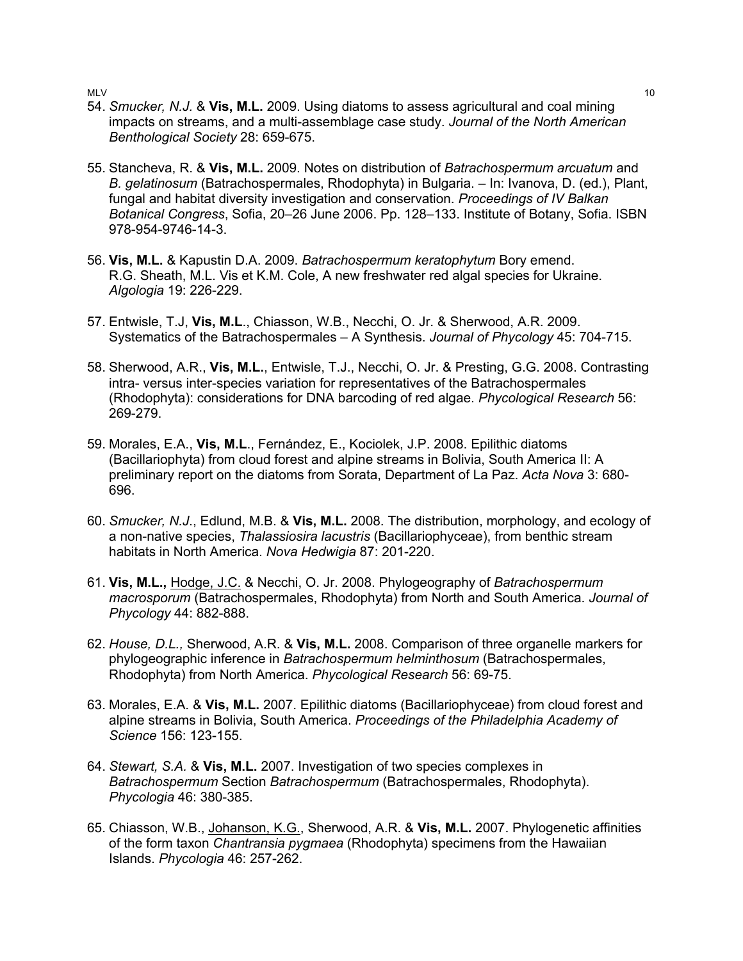- 54. *Smucker, N.J.* & **Vis, M.L.** 2009. Using diatoms to assess agricultural and coal mining impacts on streams, and a multi-assemblage case study. *Journal of the North American Benthological Society* 28: 659-675.
- 55. Stancheva, R. & **Vis, M.L.** 2009. Notes on distribution of *Batrachospermum arcuatum* and *B. gelatinosum* (Batrachospermales, Rhodophyta) in Bulgaria. – In: Ivanova, D. (ed.), Plant, fungal and habitat diversity investigation and conservation. *Proceedings of IV Balkan Botanical Congress*, Sofia, 20–26 June 2006. Pp. 128–133. Institute of Botany, Sofia. ISBN 978-954-9746-14-3.
- 56. **Vis, M.L.** & Kapustin D.A. 2009. *Batrachospermum keratophytum* Bory emend. R.G. Sheath, M.L. Vis et K.M. Cole, A new freshwater red algal species for Ukraine. *Algologia* 19: 226-229.
- 57. Entwisle, T.J, **Vis, M.L**., Chiasson, W.B., Necchi, O. Jr. & Sherwood, A.R. 2009. Systematics of the Batrachospermales – A Synthesis. *Journal of Phycology* 45: 704-715.
- 58. Sherwood, A.R., **Vis, M.L.**, Entwisle, T.J., Necchi, O. Jr. & Presting, G.G. 2008. Contrasting intra- versus inter-species variation for representatives of the Batrachospermales (Rhodophyta): considerations for DNA barcoding of red algae. *Phycological Research* 56: 269-279.
- 59. Morales, E.A., **Vis, M.L**., Fernández, E., Kociolek, J.P. 2008. Epilithic diatoms (Bacillariophyta) from cloud forest and alpine streams in Bolivia, South America II: A preliminary report on the diatoms from Sorata, Department of La Paz. *Acta Nova* 3: 680- 696.
- 60. *Smucker, N.J*., Edlund, M.B. & **Vis, M.L.** 2008. The distribution, morphology, and ecology of a non-native species, *Thalassiosira lacustris* (Bacillariophyceae), from benthic stream habitats in North America. *Nova Hedwigia* 87: 201-220.
- 61. **Vis, M.L.,** Hodge, J.C. & Necchi, O. Jr. 2008. Phylogeography of *Batrachospermum macrosporum* (Batrachospermales, Rhodophyta) from North and South America. *Journal of Phycology* 44: 882-888.
- 62. *House, D.L.,* Sherwood, A.R. & **Vis, M.L.** 2008. Comparison of three organelle markers for phylogeographic inference in *Batrachospermum helminthosum* (Batrachospermales, Rhodophyta) from North America. *Phycological Research* 56: 69-75.
- 63. Morales, E.A. & **Vis, M.L.** 2007. Epilithic diatoms (Bacillariophyceae) from cloud forest and alpine streams in Bolivia, South America. *Proceedings of the Philadelphia Academy of Science* 156: 123-155.
- 64. *Stewart, S.A.* & **Vis, M.L.** 2007. Investigation of two species complexes in *Batrachospermum* Section *Batrachospermum* (Batrachospermales, Rhodophyta). *Phycologia* 46: 380-385.
- 65. Chiasson, W.B., Johanson, K.G., Sherwood, A.R. & **Vis, M.L.** 2007. Phylogenetic affinities of the form taxon *Chantransia pygmaea* (Rhodophyta) specimens from the Hawaiian Islands. *Phycologia* 46: 257-262.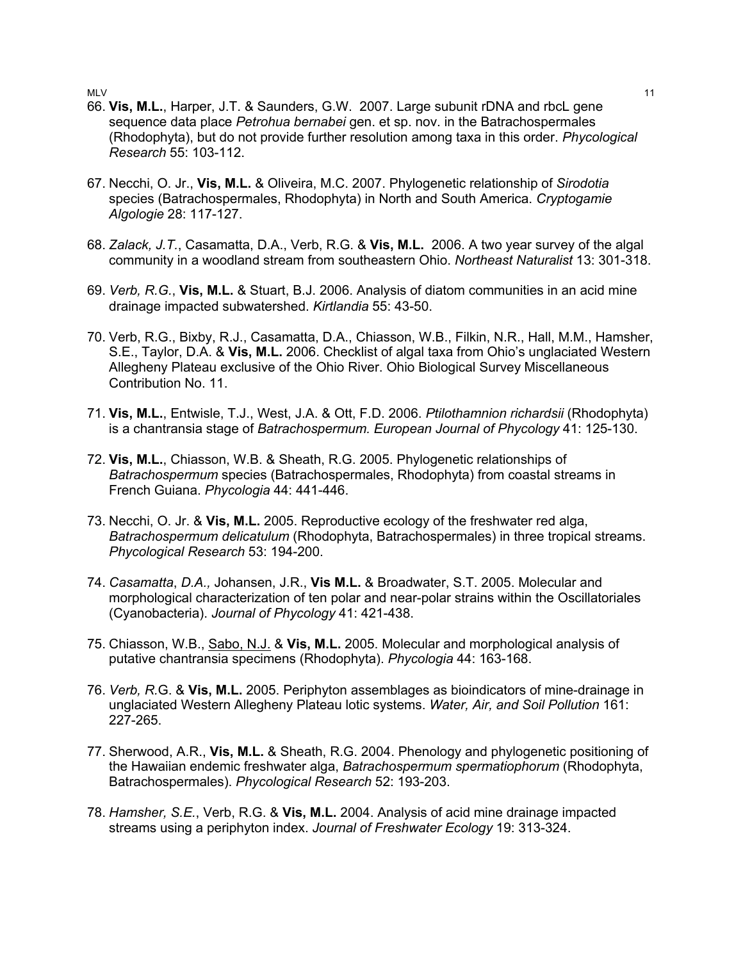- $MLV$  and the contract of the contract of the contract of the contract of the contract of the contract of the contract of the contract of the contract of the contract of the contract of the contract of the contract of the 66. **Vis, M.L.**, Harper, J.T. & Saunders, G.W. 2007. Large subunit rDNA and rbcL gene sequence data place *Petrohua bernabei* gen. et sp. nov. in the Batrachospermales (Rhodophyta), but do not provide further resolution among taxa in this order. *Phycological Research* 55: 103-112.
- 67. Necchi, O. Jr., **Vis, M.L.** & Oliveira, M.C. 2007. Phylogenetic relationship of *Sirodotia* species (Batrachospermales, Rhodophyta) in North and South America. *Cryptogamie Algologie* 28: 117-127.
- 68. *Zalack, J.T.*, Casamatta, D.A., Verb, R.G. & **Vis, M.L.** 2006. A two year survey of the algal community in a woodland stream from southeastern Ohio. *Northeast Naturalist* 13: 301-318.
- 69. *Verb, R.G.*, **Vis, M.L.** & Stuart, B.J. 2006. Analysis of diatom communities in an acid mine drainage impacted subwatershed. *Kirtlandia* 55: 43-50.
- 70. Verb, R.G., Bixby, R.J., Casamatta, D.A., Chiasson, W.B., Filkin, N.R., Hall, M.M., Hamsher, S.E., Taylor, D.A. & **Vis, M.L.** 2006. Checklist of algal taxa from Ohio's unglaciated Western Allegheny Plateau exclusive of the Ohio River. Ohio Biological Survey Miscellaneous Contribution No. 11.
- 71. **Vis, M.L.**, Entwisle, T.J., West, J.A. & Ott, F.D. 2006. *Ptilothamnion richardsii* (Rhodophyta) is a chantransia stage of *Batrachospermum. European Journal of Phycology* 41: 125-130.
- 72. **Vis, M.L.**, Chiasson, W.B. & Sheath, R.G. 2005. Phylogenetic relationships of *Batrachospermum* species (Batrachospermales, Rhodophyta) from coastal streams in French Guiana. *Phycologia* 44: 441-446.
- 73. Necchi, O. Jr. & **Vis, M.L.** 2005. Reproductive ecology of the freshwater red alga, *Batrachospermum delicatulum* (Rhodophyta, Batrachospermales) in three tropical streams. *Phycological Research* 53: 194-200.
- 74. *Casamatta*, *D.A.,* Johansen, J.R., **Vis M.L.** & Broadwater, S.T. 2005. Molecular and morphological characterization of ten polar and near-polar strains within the Oscillatoriales (Cyanobacteria). *Journal of Phycology* 41: 421-438.
- 75. Chiasson, W.B., Sabo, N.J. & **Vis, M.L.** 2005. Molecular and morphological analysis of putative chantransia specimens (Rhodophyta). *Phycologia* 44: 163-168.
- 76. *Verb, R.*G. & **Vis, M.L.** 2005. Periphyton assemblages as bioindicators of mine-drainage in unglaciated Western Allegheny Plateau lotic systems. *Water, Air, and Soil Pollution* 161: 227-265.
- 77. Sherwood, A.R., **Vis, M.L.** & Sheath, R.G. 2004. Phenology and phylogenetic positioning of the Hawaiian endemic freshwater alga, *Batrachospermum spermatiophorum* (Rhodophyta, Batrachospermales). *Phycological Research* 52: 193-203.
- 78. *Hamsher, S.E.*, Verb, R.G. & **Vis, M.L.** 2004. Analysis of acid mine drainage impacted streams using a periphyton index. *Journal of Freshwater Ecology* 19: 313-324.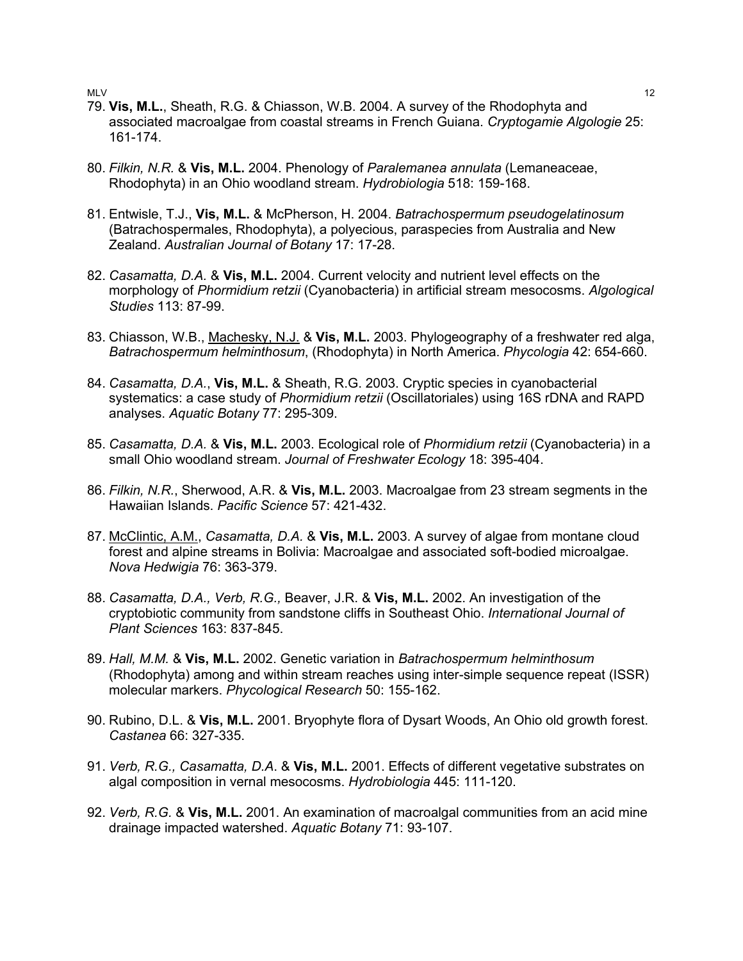- 79. **Vis, M.L.**, Sheath, R.G. & Chiasson, W.B. 2004. A survey of the Rhodophyta and associated macroalgae from coastal streams in French Guiana. *Cryptogamie Algologie* 25: 161-174.
- 80. *Filkin, N.R.* & **Vis, M.L.** 2004. Phenology of *Paralemanea annulata* (Lemaneaceae, Rhodophyta) in an Ohio woodland stream. *Hydrobiologia* 518: 159-168.
- 81. Entwisle, T.J., **Vis, M.L.** & McPherson, H. 2004. *Batrachospermum pseudogelatinosum* (Batrachospermales, Rhodophyta), a polyecious, paraspecies from Australia and New Zealand. *Australian Journal of Botany* 17: 17-28.
- 82. *Casamatta, D.A.* & **Vis, M.L.** 2004. Current velocity and nutrient level effects on the morphology of *Phormidium retzii* (Cyanobacteria) in artificial stream mesocosms. *Algological Studies* 113: 87-99.
- 83. Chiasson, W.B., Machesky, N.J. & **Vis, M.L.** 2003. Phylogeography of a freshwater red alga, *Batrachospermum helminthosum*, (Rhodophyta) in North America. *Phycologia* 42: 654-660.
- 84. *Casamatta, D.A.*, **Vis, M.L.** & Sheath, R.G. 2003. Cryptic species in cyanobacterial systematics: a case study of *Phormidium retzii* (Oscillatoriales) using 16S rDNA and RAPD analyses. *Aquatic Botany* 77: 295-309.
- 85. *Casamatta, D.A.* & **Vis, M.L.** 2003. Ecological role of *Phormidium retzii* (Cyanobacteria) in a small Ohio woodland stream. *Journal of Freshwater Ecology* 18: 395-404.
- 86. *Filkin, N.R.*, Sherwood, A.R. & **Vis, M.L.** 2003. Macroalgae from 23 stream segments in the Hawaiian Islands. *Pacific Science* 57: 421-432.
- 87. McClintic, A.M., *Casamatta, D.A.* & **Vis, M.L.** 2003. A survey of algae from montane cloud forest and alpine streams in Bolivia: Macroalgae and associated soft-bodied microalgae. *Nova Hedwigia* 76: 363-379.
- 88. *Casamatta, D.A., Verb, R.G.,* Beaver, J.R. & **Vis, M.L.** 2002. An investigation of the cryptobiotic community from sandstone cliffs in Southeast Ohio. *International Journal of Plant Sciences* 163: 837-845.
- 89. *Hall, M.M.* & **Vis, M.L.** 2002. Genetic variation in *Batrachospermum helminthosum* (Rhodophyta) among and within stream reaches using inter-simple sequence repeat (ISSR) molecular markers. *Phycological Research* 50: 155-162.
- 90. Rubino, D.L. & **Vis, M.L.** 2001. Bryophyte flora of Dysart Woods, An Ohio old growth forest. *Castanea* 66: 327-335.
- 91. *Verb, R.G., Casamatta, D.A*. & **Vis, M.L.** 2001. Effects of different vegetative substrates on algal composition in vernal mesocosms. *Hydrobiologia* 445: 111-120.
- 92. *Verb, R.G.* & **Vis, M.L.** 2001. An examination of macroalgal communities from an acid mine drainage impacted watershed. *Aquatic Botany* 71: 93-107.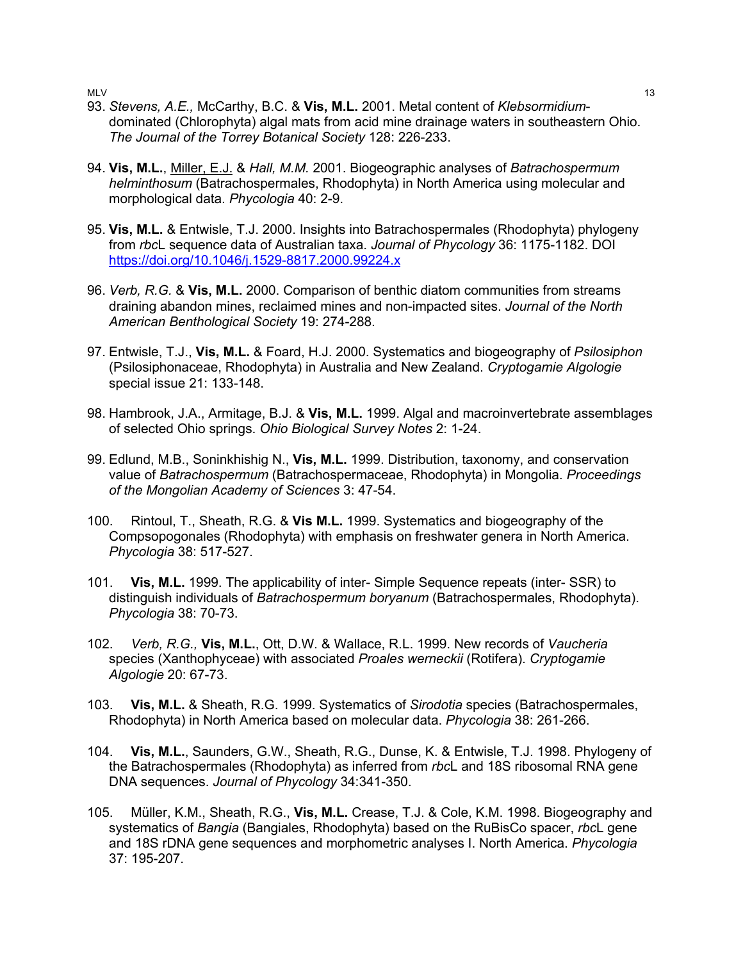- $MLV$  and the contract of the contract of the contract of the contract of the contract of the contract of the contract of the contract of the contract of the contract of the contract of the contract of the contract of the 93. *Stevens, A.E.,* McCarthy, B.C. & **Vis, M.L.** 2001. Metal content of *Klebsormidium*dominated (Chlorophyta) algal mats from acid mine drainage waters in southeastern Ohio. *The Journal of the Torrey Botanical Society* 128: 226-233.
- 94. **Vis, M.L.**, Miller, E.J. & *Hall, M.M.* 2001. Biogeographic analyses of *Batrachospermum helminthosum* (Batrachospermales, Rhodophyta) in North America using molecular and morphological data. *Phycologia* 40: 2-9.
- 95. **Vis, M.L.** & Entwisle, T.J. 2000. Insights into Batrachospermales (Rhodophyta) phylogeny from *rbc*L sequence data of Australian taxa. *Journal of Phycology* 36: 1175-1182. DOI https://doi.org/10.1046/j.1529-8817.2000.99224.x
- 96. *Verb, R.G.* & **Vis, M.L.** 2000. Comparison of benthic diatom communities from streams draining abandon mines, reclaimed mines and non-impacted sites. *Journal of the North American Benthological Society* 19: 274-288.
- 97. Entwisle, T.J., **Vis, M.L.** & Foard, H.J. 2000. Systematics and biogeography of *Psilosiphon* (Psilosiphonaceae, Rhodophyta) in Australia and New Zealand. *Cryptogamie Algologie* special issue 21: 133-148.
- 98. Hambrook, J.A., Armitage, B.J. & **Vis, M.L.** 1999. Algal and macroinvertebrate assemblages of selected Ohio springs. *Ohio Biological Survey Notes* 2: 1-24.
- 99. Edlund, M.B., Soninkhishig N., **Vis, M.L.** 1999. Distribution, taxonomy, and conservation value of *Batrachospermum* (Batrachospermaceae, Rhodophyta) in Mongolia. *Proceedings of the Mongolian Academy of Sciences* 3: 47-54.
- 100. Rintoul, T., Sheath, R.G. & **Vis M.L.** 1999. Systematics and biogeography of the Compsopogonales (Rhodophyta) with emphasis on freshwater genera in North America. *Phycologia* 38: 517-527.
- 101. **Vis, M.L.** 1999. The applicability of inter- Simple Sequence repeats (inter- SSR) to distinguish individuals of *Batrachospermum boryanum* (Batrachospermales, Rhodophyta). *Phycologia* 38: 70-73.
- 102. *Verb, R.G.,* **Vis, M.L.**, Ott, D.W. & Wallace, R.L. 1999. New records of *Vaucheria* species (Xanthophyceae) with associated *Proales werneckii* (Rotifera). *Cryptogamie Algologie* 20: 67-73.
- 103. **Vis, M.L.** & Sheath, R.G. 1999. Systematics of *Sirodotia* species (Batrachospermales, Rhodophyta) in North America based on molecular data. *Phycologia* 38: 261-266.
- 104. **Vis, M.L.**, Saunders, G.W., Sheath, R.G., Dunse, K. & Entwisle, T.J. 1998. Phylogeny of the Batrachospermales (Rhodophyta) as inferred from *rbc*L and 18S ribosomal RNA gene DNA sequences. *Journal of Phycology* 34:341-350.
- 105. Müller, K.M., Sheath, R.G., **Vis, M.L.** Crease, T.J. & Cole, K.M. 1998. Biogeography and systematics of *Bangia* (Bangiales, Rhodophyta) based on the RuBisCo spacer, *rbc*L gene and 18S rDNA gene sequences and morphometric analyses I. North America. *Phycologia* 37: 195-207.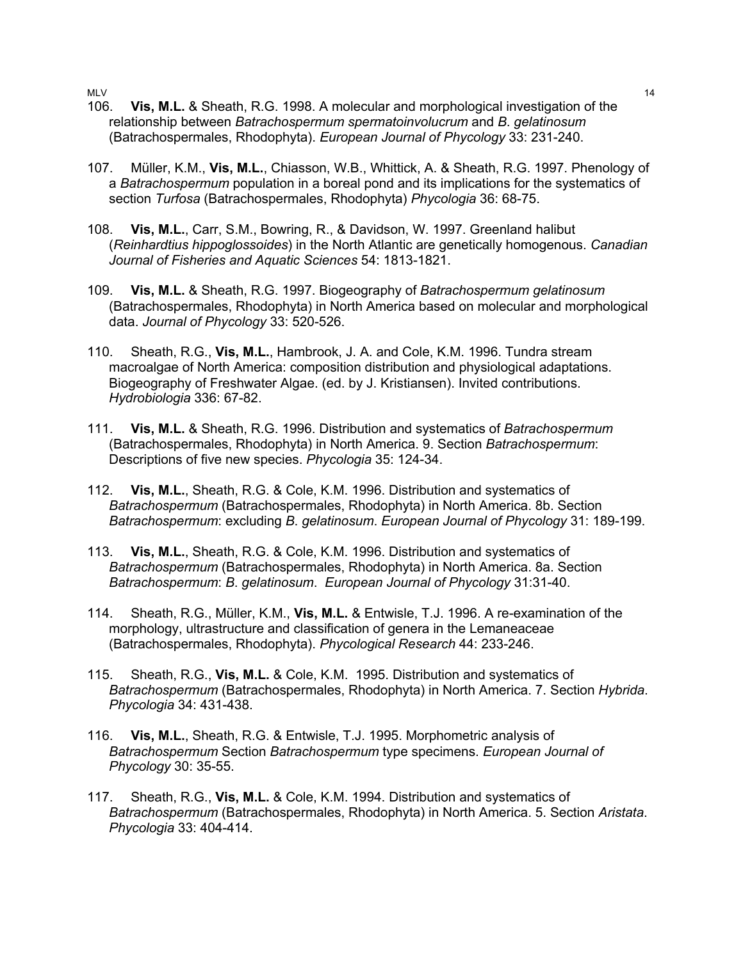- 106. **Vis, M.L.** & Sheath, R.G. 1998. A molecular and morphological investigation of the relationship between *Batrachospermum spermatoinvolucrum* and *B*. *gelatinosum* (Batrachospermales, Rhodophyta). *European Journal of Phycology* 33: 231-240.
- 107. Müller, K.M., **Vis, M.L.**, Chiasson, W.B., Whittick, A. & Sheath, R.G. 1997. Phenology of a *Batrachospermum* population in a boreal pond and its implications for the systematics of section *Turfosa* (Batrachospermales, Rhodophyta) *Phycologia* 36: 68-75.
- 108. **Vis, M.L.**, Carr, S.M., Bowring, R., & Davidson, W. 1997. Greenland halibut (*Reinhardtius hippoglossoides*) in the North Atlantic are genetically homogenous. *Canadian Journal of Fisheries and Aquatic Sciences* 54: 1813-1821.
- 109. **Vis, M.L.** & Sheath, R.G. 1997. Biogeography of *Batrachospermum gelatinosum* (Batrachospermales, Rhodophyta) in North America based on molecular and morphological data. *Journal of Phycology* 33: 520-526.
- 110. Sheath, R.G., **Vis, M.L.**, Hambrook, J. A. and Cole, K.M. 1996. Tundra stream macroalgae of North America: composition distribution and physiological adaptations. Biogeography of Freshwater Algae. (ed. by J. Kristiansen). Invited contributions. *Hydrobiologia* 336: 67-82.
- 111. **Vis, M.L.** & Sheath, R.G. 1996. Distribution and systematics of *Batrachospermum* (Batrachospermales, Rhodophyta) in North America. 9. Section *Batrachospermum*: Descriptions of five new species. *Phycologia* 35: 124-34.
- 112. **Vis, M.L.**, Sheath, R.G. & Cole, K.M. 1996. Distribution and systematics of *Batrachospermum* (Batrachospermales, Rhodophyta) in North America. 8b. Section *Batrachospermum*: excluding *B*. *gelatinosum*. *European Journal of Phycology* 31: 189-199.
- 113. **Vis, M.L.**, Sheath, R.G. & Cole, K.M. 1996. Distribution and systematics of *Batrachospermum* (Batrachospermales, Rhodophyta) in North America. 8a. Section *Batrachospermum*: *B*. *gelatinosum*. *European Journal of Phycology* 31:31-40.
- 114. Sheath, R.G., Müller, K.M., **Vis, M.L.** & Entwisle, T.J. 1996. A re-examination of the morphology, ultrastructure and classification of genera in the Lemaneaceae (Batrachospermales, Rhodophyta). *Phycological Research* 44: 233-246.
- 115. Sheath, R.G., **Vis, M.L.** & Cole, K.M. 1995. Distribution and systematics of *Batrachospermum* (Batrachospermales, Rhodophyta) in North America. 7. Section *Hybrida*. *Phycologia* 34: 431-438.
- 116. **Vis, M.L.**, Sheath, R.G. & Entwisle, T.J. 1995. Morphometric analysis of *Batrachospermum* Section *Batrachospermum* type specimens. *European Journal of Phycology* 30: 35-55.
- 117. Sheath, R.G., **Vis, M.L.** & Cole, K.M. 1994. Distribution and systematics of *Batrachospermum* (Batrachospermales, Rhodophyta) in North America. 5. Section *Aristata*. *Phycologia* 33: 404-414.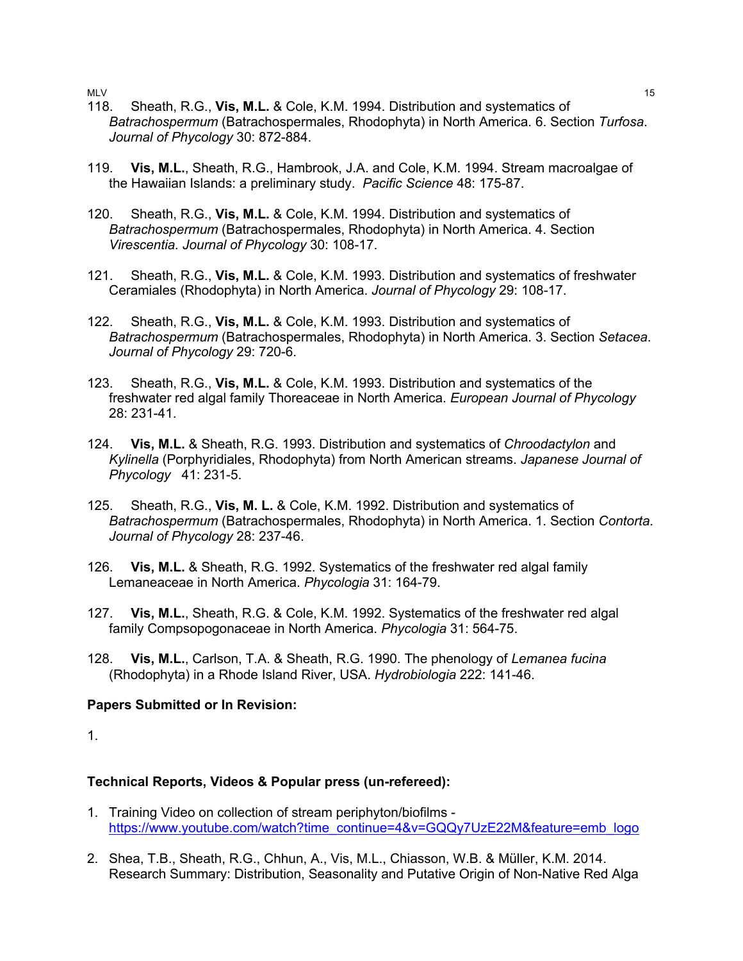- 118. Sheath, R.G., **Vis, M.L.** & Cole, K.M. 1994. Distribution and systematics of *Batrachospermum* (Batrachospermales, Rhodophyta) in North America. 6. Section *Turfosa*. *Journal of Phycology* 30: 872-884.
- 119. **Vis, M.L.**, Sheath, R.G., Hambrook, J.A. and Cole, K.M. 1994. Stream macroalgae of the Hawaiian Islands: a preliminary study. *Pacific Science* 48: 175-87.
- 120. Sheath, R.G., **Vis, M.L.** & Cole, K.M. 1994. Distribution and systematics of *Batrachospermum* (Batrachospermales, Rhodophyta) in North America. 4. Section *Virescentia. Journal of Phycology* 30: 108-17.
- 121. Sheath, R.G., **Vis, M.L.** & Cole, K.M. 1993. Distribution and systematics of freshwater Ceramiales (Rhodophyta) in North America. *Journal of Phycology* 29: 108-17.
- 122. Sheath, R.G., **Vis, M.L.** & Cole, K.M. 1993. Distribution and systematics of *Batrachospermum* (Batrachospermales, Rhodophyta) in North America. 3. Section *Setacea*. *Journal of Phycology* 29: 720-6.
- 123. Sheath, R.G., **Vis, M.L.** & Cole, K.M. 1993. Distribution and systematics of the freshwater red algal family Thoreaceae in North America. *European Journal of Phycology* 28: 231-41.
- 124. **Vis, M.L.** & Sheath, R.G. 1993. Distribution and systematics of *Chroodactylon* and *Kylinella* (Porphyridiales, Rhodophyta) from North American streams. *Japanese Journal of Phycology* 41: 231-5.
- 125. Sheath, R.G., **Vis, M. L.** & Cole, K.M. 1992. Distribution and systematics of *Batrachospermum* (Batrachospermales, Rhodophyta) in North America. 1. Section *Contorta*. *Journal of Phycology* 28: 237-46.
- 126. **Vis, M.L.** & Sheath, R.G. 1992. Systematics of the freshwater red algal family Lemaneaceae in North America. *Phycologia* 31: 164-79.
- 127. **Vis, M.L.**, Sheath, R.G. & Cole, K.M. 1992. Systematics of the freshwater red algal family Compsopogonaceae in North America. *Phycologia* 31: 564-75.
- 128. **Vis, M.L.**, Carlson, T.A. & Sheath, R.G. 1990. The phenology of *Lemanea fucina* (Rhodophyta) in a Rhode Island River, USA. *Hydrobiologia* 222: 141-46.

## **Papers Submitted or In Revision:**

1.

## **Technical Reports, Videos & Popular press (un-refereed):**

- 1. Training Video on collection of stream periphyton/biofilms https://www.youtube.com/watch?time\_continue=4&v=GQQy7UzE22M&feature=emb\_logo
- 2. Shea, T.B., Sheath, R.G., Chhun, A., Vis, M.L., Chiasson, W.B. & Müller, K.M. 2014. Research Summary: Distribution, Seasonality and Putative Origin of Non-Native Red Alga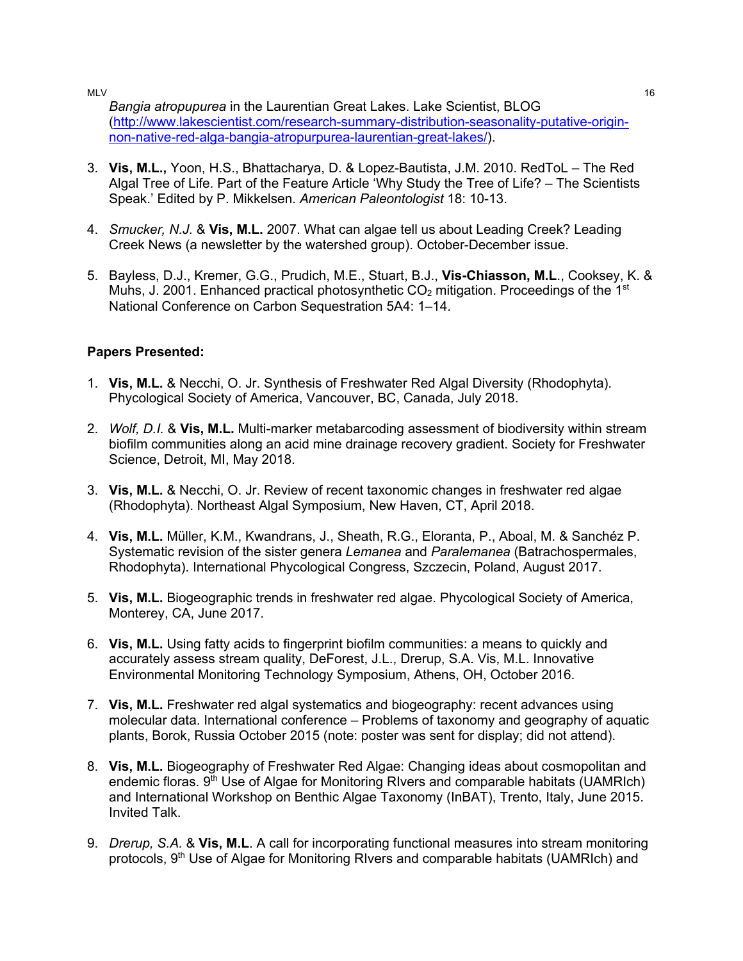*Bangia atropupurea* in the Laurentian Great Lakes. Lake Scientist, BLOG (http://www.lakescientist.com/research-summary-distribution-seasonality-putative-originnon-native-red-alga-bangia-atropurpurea-laurentian-great-lakes/).

- 3. **Vis, M.L.,** Yoon, H.S., Bhattacharya, D. & Lopez-Bautista, J.M. 2010. RedToL The Red Algal Tree of Life. Part of the Feature Article 'Why Study the Tree of Life? – The Scientists Speak.' Edited by P. Mikkelsen. *American Paleontologist* 18: 10-13.
- 4. *Smucker, N.J.* & **Vis, M.L.** 2007. What can algae tell us about Leading Creek? Leading Creek News (a newsletter by the watershed group). October-December issue.
- 5. Bayless, D.J., Kremer, G.G., Prudich, M.E., Stuart, B.J., **Vis-Chiasson, M.L**., Cooksey, K. & Muhs, J. 2001. Enhanced practical photosynthetic  $CO<sub>2</sub>$  mitigation. Proceedings of the 1<sup>st</sup> National Conference on Carbon Sequestration 5A4: 1–14.

## **Papers Presented:**

- 1. **Vis, M.L.** & Necchi, O. Jr. Synthesis of Freshwater Red Algal Diversity (Rhodophyta). Phycological Society of America, Vancouver, BC, Canada, July 2018.
- 2. *Wolf, D.I.* & **Vis, M.L.** Multi-marker metabarcoding assessment of biodiversity within stream biofilm communities along an acid mine drainage recovery gradient. Society for Freshwater Science, Detroit, MI, May 2018.
- 3. **Vis, M.L.** & Necchi, O. Jr. Review of recent taxonomic changes in freshwater red algae (Rhodophyta). Northeast Algal Symposium, New Haven, CT, April 2018.
- 4. **Vis, M.L.** Müller, K.M., Kwandrans, J., Sheath, R.G., Eloranta, P., Aboal, M. & Sanchéz P. Systematic revision of the sister genera *Lemanea* and *Paralemanea* (Batrachospermales, Rhodophyta). International Phycological Congress, Szczecin, Poland, August 2017.
- 5. **Vis, M.L.** Biogeographic trends in freshwater red algae. Phycological Society of America, Monterey, CA, June 2017.
- 6. **Vis, M.L.** Using fatty acids to fingerprint biofilm communities: a means to quickly and accurately assess stream quality, DeForest, J.L., Drerup, S.A. Vis, M.L. Innovative Environmental Monitoring Technology Symposium, Athens, OH, October 2016.
- 7. **Vis, M.L.** Freshwater red algal systematics and biogeography: recent advances using molecular data. International conference – Problems of taxonomy and geography of aquatic plants, Borok, Russia October 2015 (note: poster was sent for display; did not attend).
- 8. **Vis, M.L.** Biogeography of Freshwater Red Algae: Changing ideas about cosmopolitan and endemic floras.  $9<sup>th</sup>$  Use of Algae for Monitoring RIvers and comparable habitats (UAMRIch) and International Workshop on Benthic Algae Taxonomy (InBAT), Trento, Italy, June 2015. Invited Talk.
- 9. *Drerup, S.A.* & **Vis, M.L**. A call for incorporating functional measures into stream monitoring protocols,  $9<sup>th</sup>$  Use of Algae for Monitoring RIvers and comparable habitats (UAMRIch) and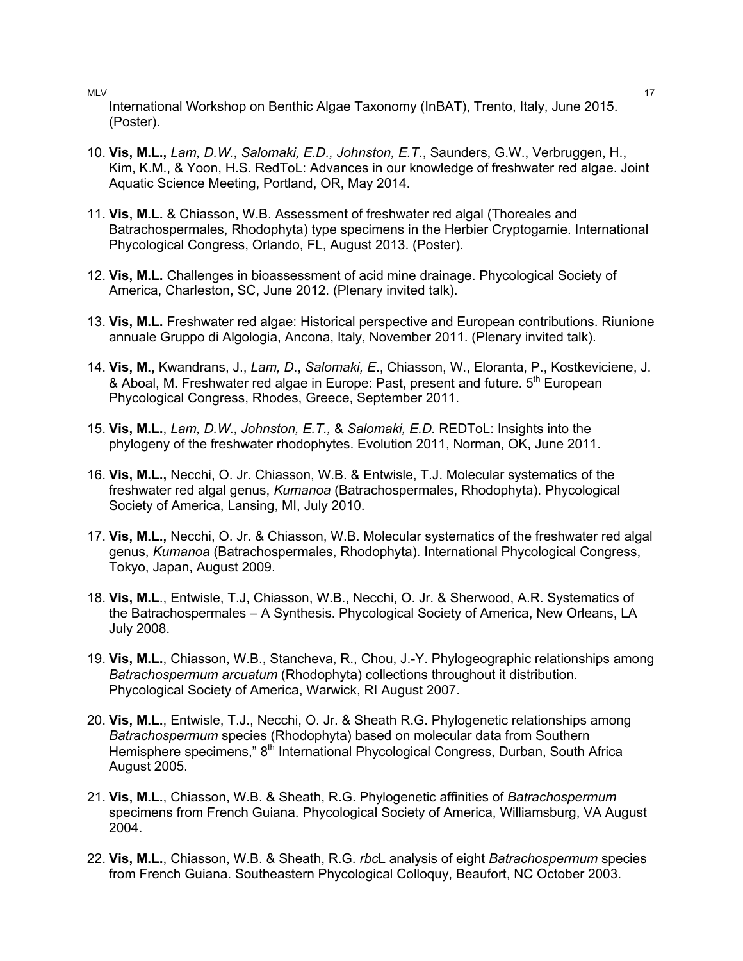$MLV$  and the contract of the contract of the contract of the contract of the contract of the contract of the contract of the contract of the contract of the contract of the contract of the contract of the contract of the International Workshop on Benthic Algae Taxonomy (InBAT), Trento, Italy, June 2015. (Poster).

- 10. **Vis, M.L.,** *Lam, D.W.*, *Salomaki, E.D., Johnston, E.T*., Saunders, G.W., Verbruggen, H., Kim, K.M., & Yoon, H.S. RedToL: Advances in our knowledge of freshwater red algae. Joint Aquatic Science Meeting, Portland, OR, May 2014.
- 11. **Vis, M.L.** & Chiasson, W.B. Assessment of freshwater red algal (Thoreales and Batrachospermales, Rhodophyta) type specimens in the Herbier Cryptogamie. International Phycological Congress, Orlando, FL, August 2013. (Poster).
- 12. **Vis, M.L.** Challenges in bioassessment of acid mine drainage. Phycological Society of America, Charleston, SC, June 2012. (Plenary invited talk).
- 13. **Vis, M.L.** Freshwater red algae: Historical perspective and European contributions. Riunione annuale Gruppo di Algologia, Ancona, Italy, November 2011. (Plenary invited talk).
- 14. **Vis, M.,** Kwandrans, J., *Lam, D*., *Salomaki, E*., Chiasson, W., Eloranta, P., Kostkeviciene, J. & Aboal, M. Freshwater red algae in Europe: Past, present and future. 5<sup>th</sup> European Phycological Congress, Rhodes, Greece, September 2011.
- 15. **Vis, M.L.**, *Lam, D.W*., *Johnston, E.T.,* & *Salomaki, E.D.* REDToL: Insights into the phylogeny of the freshwater rhodophytes. Evolution 2011, Norman, OK, June 2011.
- 16. **Vis, M.L.,** Necchi, O. Jr. Chiasson, W.B. & Entwisle, T.J. Molecular systematics of the freshwater red algal genus, *Kumanoa* (Batrachospermales, Rhodophyta). Phycological Society of America, Lansing, MI, July 2010.
- 17. **Vis, M.L.,** Necchi, O. Jr. & Chiasson, W.B. Molecular systematics of the freshwater red algal genus, *Kumanoa* (Batrachospermales, Rhodophyta). International Phycological Congress, Tokyo, Japan, August 2009.
- 18. **Vis, M.L**., Entwisle, T.J, Chiasson, W.B., Necchi, O. Jr. & Sherwood, A.R. Systematics of the Batrachospermales – A Synthesis. Phycological Society of America, New Orleans, LA July 2008.
- 19. **Vis, M.L.**, Chiasson, W.B., Stancheva, R., Chou, J.-Y. Phylogeographic relationships among *Batrachospermum arcuatum* (Rhodophyta) collections throughout it distribution. Phycological Society of America, Warwick, RI August 2007.
- 20. **Vis, M.L.**, Entwisle, T.J., Necchi, O. Jr. & Sheath R.G. Phylogenetic relationships among *Batrachospermum* species (Rhodophyta) based on molecular data from Southern Hemisphere specimens," 8<sup>th</sup> International Phycological Congress, Durban, South Africa August 2005.
- 21. **Vis, M.L.**, Chiasson, W.B. & Sheath, R.G. Phylogenetic affinities of *Batrachospermum* specimens from French Guiana. Phycological Society of America, Williamsburg, VA August 2004.
- 22. **Vis, M.L.**, Chiasson, W.B. & Sheath, R.G. *rbc*L analysis of eight *Batrachospermum* species from French Guiana. Southeastern Phycological Colloquy, Beaufort, NC October 2003.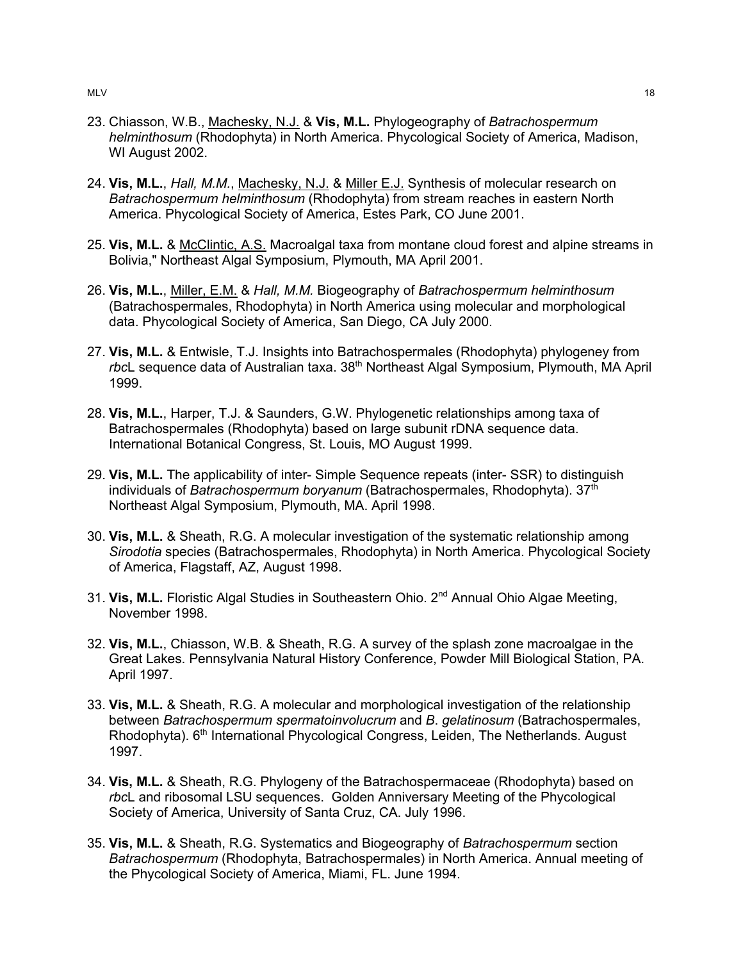- 23. Chiasson, W.B., Machesky, N.J. & **Vis, M.L.** Phylogeography of *Batrachospermum helminthosum* (Rhodophyta) in North America. Phycological Society of America, Madison, WI August 2002.
- 24. **Vis, M.L.**, *Hall, M.M.*, Machesky, N.J. & Miller E.J. Synthesis of molecular research on *Batrachospermum helminthosum* (Rhodophyta) from stream reaches in eastern North America. Phycological Society of America, Estes Park, CO June 2001.
- 25. **Vis, M.L.** & McClintic, A.S. Macroalgal taxa from montane cloud forest and alpine streams in Bolivia," Northeast Algal Symposium, Plymouth, MA April 2001.
- 26. **Vis, M.L.**, Miller, E.M. & *Hall, M.M.* Biogeography of *Batrachospermum helminthosum* (Batrachospermales, Rhodophyta) in North America using molecular and morphological data. Phycological Society of America, San Diego, CA July 2000.
- 27. **Vis, M.L.** & Entwisle, T.J. Insights into Batrachospermales (Rhodophyta) phylogeney from rbcL sequence data of Australian taxa. 38<sup>th</sup> Northeast Algal Symposium, Plymouth, MA April 1999.
- 28. **Vis, M.L.**, Harper, T.J. & Saunders, G.W. Phylogenetic relationships among taxa of Batrachospermales (Rhodophyta) based on large subunit rDNA sequence data. International Botanical Congress, St. Louis, MO August 1999.
- 29. **Vis, M.L.** The applicability of inter- Simple Sequence repeats (inter- SSR) to distinguish individuals of *Batrachospermum boryanum* (Batrachospermales, Rhodophyta). 37<sup>th</sup> Northeast Algal Symposium, Plymouth, MA. April 1998.
- 30. **Vis, M.L.** & Sheath, R.G. A molecular investigation of the systematic relationship among *Sirodotia* species (Batrachospermales, Rhodophyta) in North America. Phycological Society of America, Flagstaff, AZ, August 1998.
- 31. Vis, M.L. Floristic Algal Studies in Southeastern Ohio. 2<sup>nd</sup> Annual Ohio Algae Meeting, November 1998.
- 32. **Vis, M.L.**, Chiasson, W.B. & Sheath, R.G. A survey of the splash zone macroalgae in the Great Lakes. Pennsylvania Natural History Conference, Powder Mill Biological Station, PA. April 1997.
- 33. **Vis, M.L.** & Sheath, R.G. A molecular and morphological investigation of the relationship between *Batrachospermum spermatoinvolucrum* and *B*. *gelatinosum* (Batrachospermales, Rhodophyta). 6<sup>th</sup> International Phycological Congress, Leiden, The Netherlands, August 1997.
- 34. **Vis, M.L.** & Sheath, R.G. Phylogeny of the Batrachospermaceae (Rhodophyta) based on *rbc*L and ribosomal LSU sequences. Golden Anniversary Meeting of the Phycological Society of America, University of Santa Cruz, CA. July 1996.
- 35. **Vis, M.L.** & Sheath, R.G. Systematics and Biogeography of *Batrachospermum* section *Batrachospermum* (Rhodophyta, Batrachospermales) in North America. Annual meeting of the Phycological Society of America, Miami, FL. June 1994.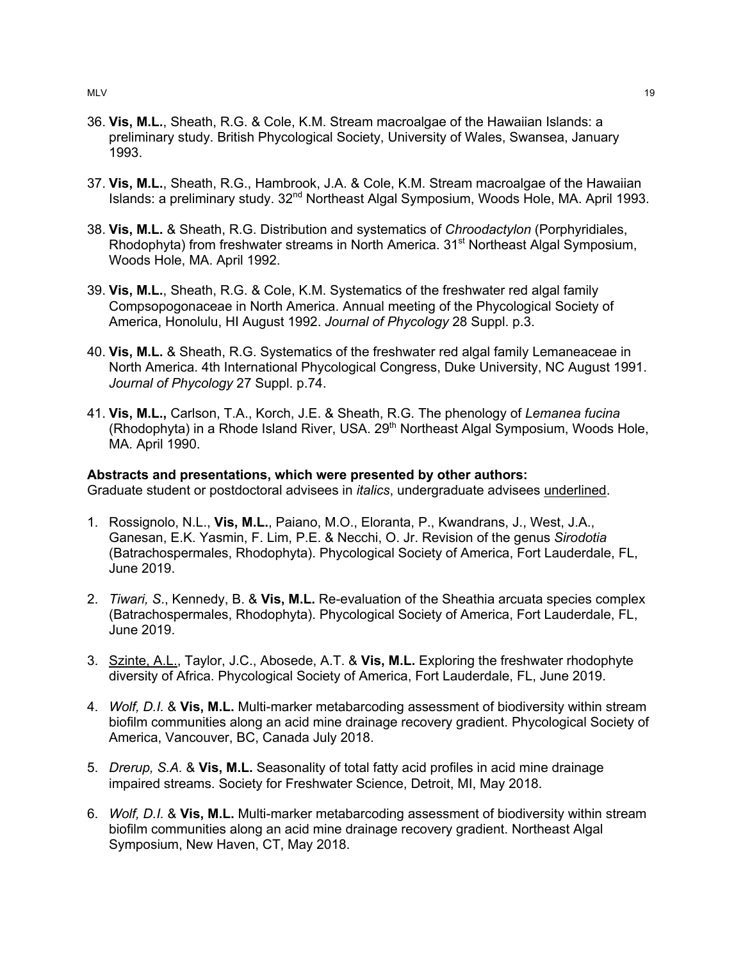- 36. **Vis, M.L.**, Sheath, R.G. & Cole, K.M. Stream macroalgae of the Hawaiian Islands: a preliminary study. British Phycological Society, University of Wales, Swansea, January 1993.
- 37. **Vis, M.L.**, Sheath, R.G., Hambrook, J.A. & Cole, K.M. Stream macroalgae of the Hawaiian Islands: a preliminary study. 32<sup>nd</sup> Northeast Algal Symposium, Woods Hole, MA. April 1993.
- 38. **Vis, M.L.** & Sheath, R.G. Distribution and systematics of *Chroodactylon* (Porphyridiales, Rhodophyta) from freshwater streams in North America. 31<sup>st</sup> Northeast Algal Symposium, Woods Hole, MA. April 1992.
- 39. **Vis, M.L.**, Sheath, R.G. & Cole, K.M. Systematics of the freshwater red algal family Compsopogonaceae in North America. Annual meeting of the Phycological Society of America, Honolulu, HI August 1992. *Journal of Phycology* 28 Suppl. p.3.
- 40. **Vis, M.L.** & Sheath, R.G. Systematics of the freshwater red algal family Lemaneaceae in North America. 4th International Phycological Congress, Duke University, NC August 1991. *Journal of Phycology* 27 Suppl. p.74.
- 41. **Vis, M.L.,** Carlson, T.A., Korch, J.E. & Sheath, R.G. The phenology of *Lemanea fucina*  $(Rhodophyta)$  in a Rhode Island River, USA,  $29<sup>th</sup>$  Northeast Algal Symposium, Woods Hole, MA. April 1990.

## **Abstracts and presentations, which were presented by other authors:**

Graduate student or postdoctoral advisees in *italics*, undergraduate advisees underlined.

- 1. Rossignolo, N.L., **Vis, M.L.**, Paiano, M.O., Eloranta, P., Kwandrans, J., West, J.A., Ganesan, E.K. Yasmin, F. Lim, P.E. & Necchi, O. Jr. Revision of the genus *Sirodotia* (Batrachospermales, Rhodophyta). Phycological Society of America, Fort Lauderdale, FL, June 2019.
- 2. *Tiwari, S*., Kennedy, B. & **Vis, M.L.** Re-evaluation of the Sheathia arcuata species complex (Batrachospermales, Rhodophyta). Phycological Society of America, Fort Lauderdale, FL, June 2019.
- 3. Szinte, A.L., Taylor, J.C., Abosede, A.T. & **Vis, M.L.** Exploring the freshwater rhodophyte diversity of Africa. Phycological Society of America, Fort Lauderdale, FL, June 2019.
- 4. *Wolf, D.I.* & **Vis, M.L.** Multi-marker metabarcoding assessment of biodiversity within stream biofilm communities along an acid mine drainage recovery gradient. Phycological Society of America, Vancouver, BC, Canada July 2018.
- 5. *Drerup, S.A.* & **Vis, M.L.** Seasonality of total fatty acid profiles in acid mine drainage impaired streams. Society for Freshwater Science, Detroit, MI, May 2018.
- 6. *Wolf, D.I.* & **Vis, M.L.** Multi-marker metabarcoding assessment of biodiversity within stream biofilm communities along an acid mine drainage recovery gradient. Northeast Algal Symposium, New Haven, CT, May 2018.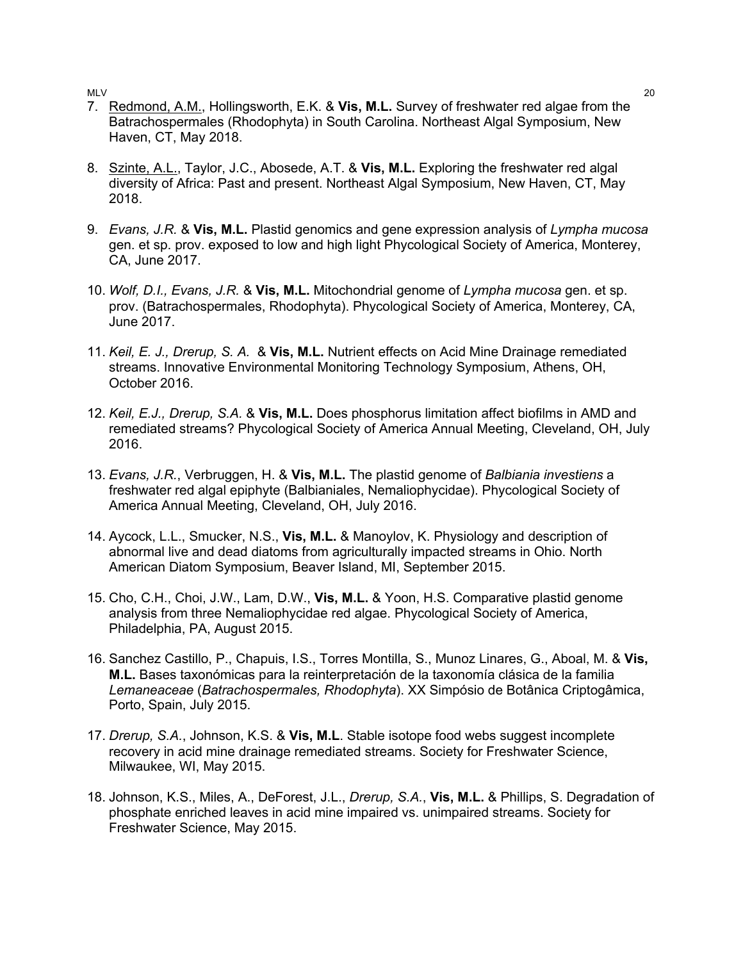- 7. Redmond, A.M., Hollingsworth, E.K. & **Vis, M.L.** Survey of freshwater red algae from the Batrachospermales (Rhodophyta) in South Carolina. Northeast Algal Symposium, New Haven, CT, May 2018.
- 8. Szinte, A.L., Taylor, J.C., Abosede, A.T. & **Vis, M.L.** Exploring the freshwater red algal diversity of Africa: Past and present. Northeast Algal Symposium, New Haven, CT, May 2018.
- 9. *Evans, J.R.* & **Vis, M.L.** Plastid genomics and gene expression analysis of *Lympha mucosa* gen. et sp. prov. exposed to low and high light Phycological Society of America, Monterey, CA, June 2017.
- 10. *Wolf, D.I., Evans, J.R.* & **Vis, M.L.** Mitochondrial genome of *Lympha mucosa* gen. et sp. prov. (Batrachospermales, Rhodophyta). Phycological Society of America, Monterey, CA, June 2017.
- 11. *Keil, E. J., Drerup, S. A.* & **Vis, M.L.** Nutrient effects on Acid Mine Drainage remediated streams. Innovative Environmental Monitoring Technology Symposium, Athens, OH, October 2016.
- 12. *Keil, E.J., Drerup, S.A.* & **Vis, M.L.** Does phosphorus limitation affect biofilms in AMD and remediated streams? Phycological Society of America Annual Meeting, Cleveland, OH, July 2016.
- 13. *Evans, J.R.*, Verbruggen, H. & **Vis, M.L.** The plastid genome of *Balbiania investiens* a freshwater red algal epiphyte (Balbianiales, Nemaliophycidae). Phycological Society of America Annual Meeting, Cleveland, OH, July 2016.
- 14. Aycock, L.L., Smucker, N.S., **Vis, M.L.** & Manoylov, K. Physiology and description of abnormal live and dead diatoms from agriculturally impacted streams in Ohio. North American Diatom Symposium, Beaver Island, MI, September 2015.
- 15. Cho, C.H., Choi, J.W., Lam, D.W., **Vis, M.L.** & Yoon, H.S. Comparative plastid genome analysis from three Nemaliophycidae red algae. Phycological Society of America, Philadelphia, PA, August 2015.
- 16. Sanchez Castillo, P., Chapuis, I.S., Torres Montilla, S., Munoz Linares, G., Aboal, M. & **Vis, M.L.** Bases taxonómicas para la reinterpretación de la taxonomía clásica de la familia *Lemaneaceae* (*Batrachospermales, Rhodophyta*). XX Simpósio de Botânica Criptogâmica, Porto, Spain, July 2015.
- 17. *Drerup, S.A.*, Johnson, K.S. & **Vis, M.L**. Stable isotope food webs suggest incomplete recovery in acid mine drainage remediated streams. Society for Freshwater Science, Milwaukee, WI, May 2015.
- 18. Johnson, K.S., Miles, A., DeForest, J.L., *Drerup, S.A.*, **Vis, M.L.** & Phillips, S. Degradation of phosphate enriched leaves in acid mine impaired vs. unimpaired streams. Society for Freshwater Science, May 2015.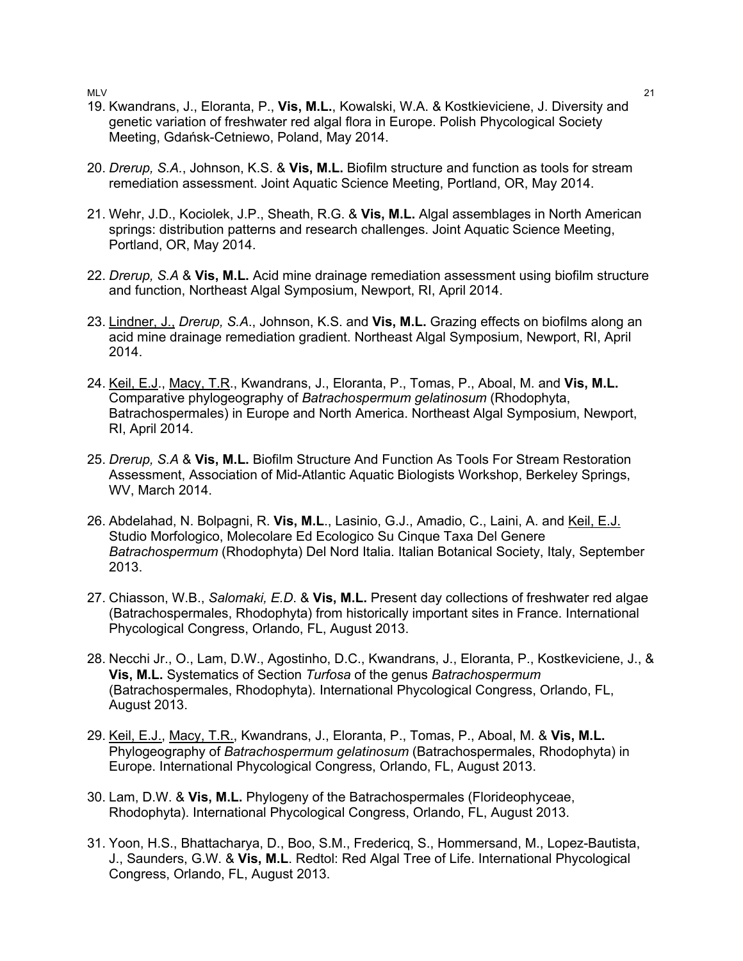- 19. Kwandrans, J., Eloranta, P., **Vis, M.L.**, Kowalski, W.A. & Kostkieviciene, J. Diversity and genetic variation of freshwater red algal flora in Europe. Polish Phycological Society Meeting, Gdańsk-Cetniewo, Poland, May 2014.
- 20. *Drerup, S.A.*, Johnson, K.S. & **Vis, M.L.** Biofilm structure and function as tools for stream remediation assessment. Joint Aquatic Science Meeting, Portland, OR, May 2014.
- 21. Wehr, J.D., Kociolek, J.P., Sheath, R.G. & **Vis, M.L.** Algal assemblages in North American springs: distribution patterns and research challenges. Joint Aquatic Science Meeting, Portland, OR, May 2014.
- 22. *Drerup, S.A* & **Vis, M.L.** Acid mine drainage remediation assessment using biofilm structure and function, Northeast Algal Symposium, Newport, RI, April 2014.
- 23. Lindner, J., *Drerup, S.A*., Johnson, K.S. and **Vis, M.L.** Grazing effects on biofilms along an acid mine drainage remediation gradient. Northeast Algal Symposium, Newport, RI, April 2014.
- 24. Keil, E.J., Macy, T.R., Kwandrans, J., Eloranta, P., Tomas, P., Aboal, M. and **Vis, M.L.** Comparative phylogeography of *Batrachospermum gelatinosum* (Rhodophyta, Batrachospermales) in Europe and North America. Northeast Algal Symposium, Newport, RI, April 2014.
- 25. *Drerup, S.A* & **Vis, M.L.** Biofilm Structure And Function As Tools For Stream Restoration Assessment, Association of Mid-Atlantic Aquatic Biologists Workshop, Berkeley Springs, WV, March 2014.
- 26. Abdelahad, N. Bolpagni, R. **Vis, M.L**., Lasinio, G.J., Amadio, C., Laini, A. and Keil, E.J. Studio Morfologico, Molecolare Ed Ecologico Su Cinque Taxa Del Genere *Batrachospermum* (Rhodophyta) Del Nord Italia. Italian Botanical Society, Italy, September 2013.
- 27. Chiasson, W.B., *Salomaki, E.D*. & **Vis, M.L.** Present day collections of freshwater red algae (Batrachospermales, Rhodophyta) from historically important sites in France. International Phycological Congress, Orlando, FL, August 2013.
- 28. Necchi Jr., O., Lam, D.W., Agostinho, D.C., Kwandrans, J., Eloranta, P., Kostkeviciene, J., & **Vis, M.L.** Systematics of Section *Turfosa* of the genus *Batrachospermum* (Batrachospermales, Rhodophyta). International Phycological Congress, Orlando, FL, August 2013.
- 29. Keil, E.J., Macy, T.R., Kwandrans, J., Eloranta, P., Tomas, P., Aboal, M. & **Vis, M.L.** Phylogeography of *Batrachospermum gelatinosum* (Batrachospermales, Rhodophyta) in Europe. International Phycological Congress, Orlando, FL, August 2013.
- 30. Lam, D.W. & **Vis, M.L.** Phylogeny of the Batrachospermales (Florideophyceae, Rhodophyta). International Phycological Congress, Orlando, FL, August 2013.
- 31. Yoon, H.S., Bhattacharya, D., Boo, S.M., Fredericq, S., Hommersand, M., Lopez-Bautista, J., Saunders, G.W. & **Vis, M.L**. Redtol: Red Algal Tree of Life. International Phycological Congress, Orlando, FL, August 2013.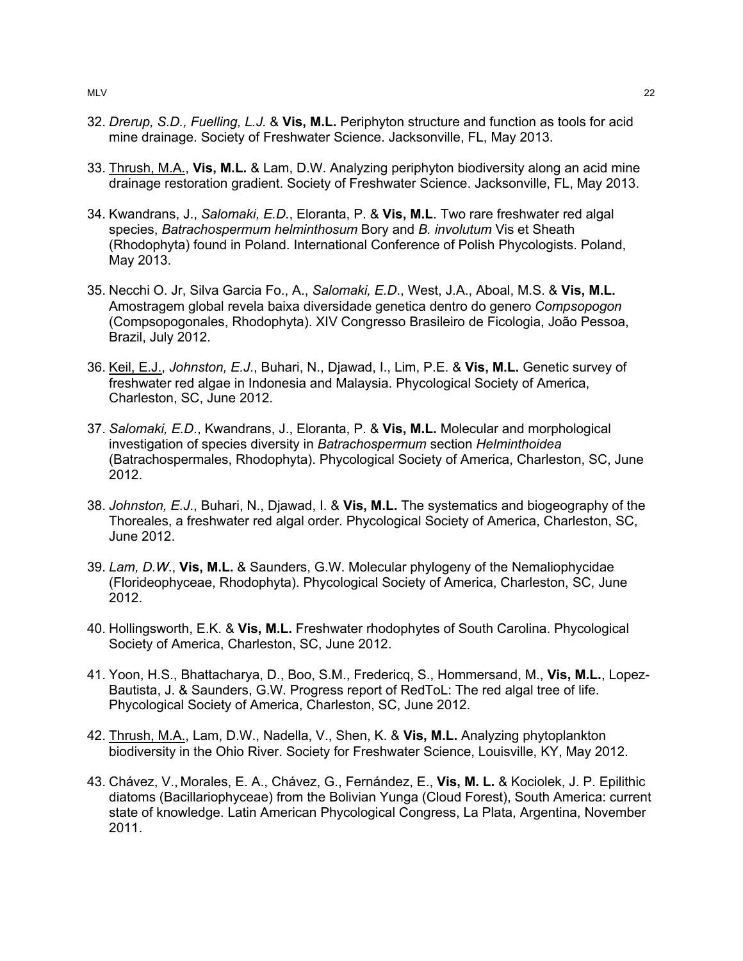- 32. *Drerup, S.D., Fuelling, L.J.* & **Vis, M.L.** Periphyton structure and function as tools for acid mine drainage. Society of Freshwater Science. Jacksonville, FL, May 2013.
- 33. Thrush, M.A., **Vis, M.L.** & Lam, D.W. Analyzing periphyton biodiversity along an acid mine drainage restoration gradient. Society of Freshwater Science. Jacksonville, FL, May 2013.
- 34. Kwandrans, J., *Salomaki, E.D.*, Eloranta, P. & **Vis, M.L**. Two rare freshwater red algal species, *Batrachospermum helminthosum* Bory and *B. involutum* Vis et Sheath (Rhodophyta) found in Poland. International Conference of Polish Phycologists. Poland, May 2013.
- 35. Necchi O. Jr, Silva Garcia Fo., A., *Salomaki, E.D*., West, J.A., Aboal, M.S. & **Vis, M.L.** Amostragem global revela baixa diversidade genetica dentro do genero *Compsopogon* (Compsopogonales, Rhodophyta). XIV Congresso Brasileiro de Ficologia, João Pessoa, Brazil, July 2012.
- 36. Keil, E.J., *Johnston, E.J*., Buhari, N., Djawad, I., Lim, P.E. & **Vis, M.L.** Genetic survey of freshwater red algae in Indonesia and Malaysia. Phycological Society of America, Charleston, SC, June 2012.
- 37. *Salomaki, E.D*., Kwandrans, J., Eloranta, P. & **Vis, M.L.** Molecular and morphological investigation of species diversity in *Batrachospermum* section *Helminthoidea* (Batrachospermales, Rhodophyta). Phycological Society of America, Charleston, SC, June 2012.
- 38. *Johnston, E.J*., Buhari, N., Djawad, I. & **Vis, M.L.** The systematics and biogeography of the Thoreales, a freshwater red algal order. Phycological Society of America, Charleston, SC, June 2012.
- 39. *Lam, D.W*., **Vis, M.L.** & Saunders, G.W. Molecular phylogeny of the Nemaliophycidae (Florideophyceae, Rhodophyta). Phycological Society of America, Charleston, SC, June 2012.
- 40. Hollingsworth, E.K. & **Vis, M.L.** Freshwater rhodophytes of South Carolina. Phycological Society of America, Charleston, SC, June 2012.
- 41. Yoon, H.S., Bhattacharya, D., Boo, S.M., Fredericq, S., Hommersand, M., **Vis, M.L.**, Lopez-Bautista, J. & Saunders, G.W. Progress report of RedToL: The red algal tree of life. Phycological Society of America, Charleston, SC, June 2012.
- 42. Thrush, M.A., Lam, D.W., Nadella, V., Shen, K. & **Vis, M.L.** Analyzing phytoplankton biodiversity in the Ohio River. Society for Freshwater Science, Louisville, KY, May 2012.
- 43. Chávez, V., Morales, E. A., Chávez, G., Fernández, E., **Vis, M. L.** & Kociolek, J. P. Epilithic diatoms (Bacillariophyceae) from the Bolivian Yunga (Cloud Forest), South America: current state of knowledge. Latin American Phycological Congress, La Plata, Argentina, November 2011.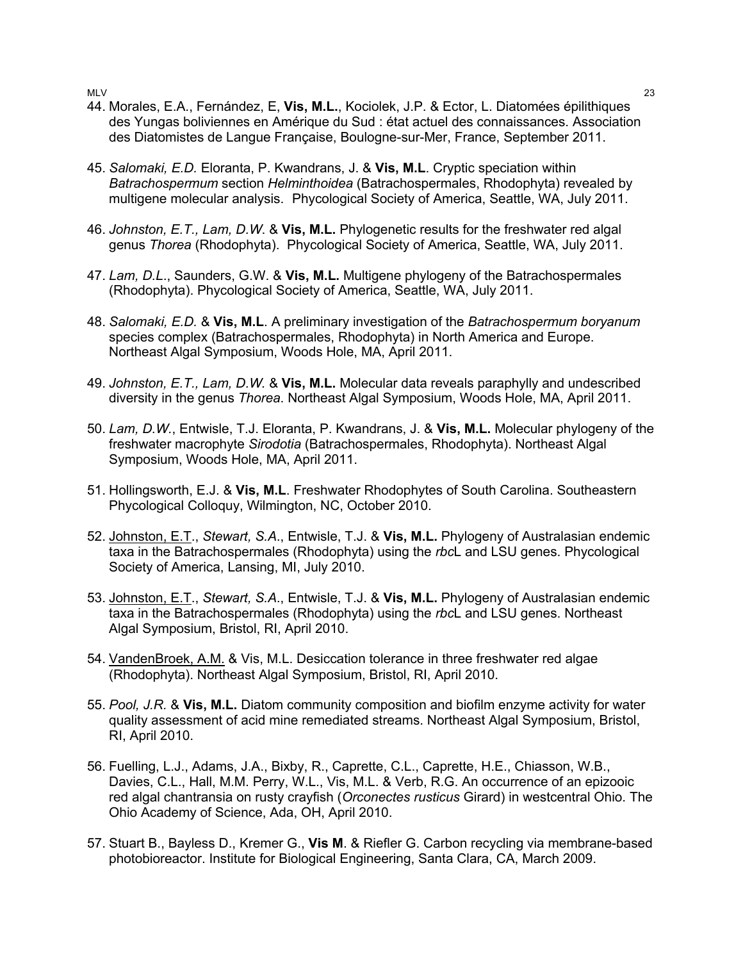- 44. Morales, E.A., Fernández, E, **Vis, M.L.**, Kociolek, J.P. & Ector, L. Diatomées épilithiques des Yungas boliviennes en Amérique du Sud : état actuel des connaissances. Association des Diatomistes de Langue Française, Boulogne-sur-Mer, France, September 2011.
- 45. *Salomaki, E.D.* Eloranta, P. Kwandrans, J. & **Vis, M.L**. Cryptic speciation within *Batrachospermum* section *Helminthoidea* (Batrachospermales, Rhodophyta) revealed by multigene molecular analysis. Phycological Society of America, Seattle, WA, July 2011.
- 46. *Johnston, E.T., Lam, D.W*. & **Vis, M.L.** Phylogenetic results for the freshwater red algal genus *Thorea* (Rhodophyta). Phycological Society of America, Seattle, WA, July 2011.
- 47. *Lam, D.L*., Saunders, G.W. & **Vis, M.L.** Multigene phylogeny of the Batrachospermales (Rhodophyta). Phycological Society of America, Seattle, WA, July 2011.
- 48. *Salomaki, E.D.* & **Vis, M.L**. A preliminary investigation of the *Batrachospermum boryanum* species complex (Batrachospermales, Rhodophyta) in North America and Europe. Northeast Algal Symposium, Woods Hole, MA, April 2011.
- 49. *Johnston, E.T., Lam, D.W.* & **Vis, M.L.** Molecular data reveals paraphylly and undescribed diversity in the genus *Thorea*. Northeast Algal Symposium, Woods Hole, MA, April 2011.
- 50. *Lam, D.W.*, Entwisle, T.J. Eloranta, P. Kwandrans, J. & **Vis, M.L.** Molecular phylogeny of the freshwater macrophyte *Sirodotia* (Batrachospermales, Rhodophyta). Northeast Algal Symposium, Woods Hole, MA, April 2011.
- 51. Hollingsworth, E.J. & **Vis, M.L**. Freshwater Rhodophytes of South Carolina. Southeastern Phycological Colloquy, Wilmington, NC, October 2010.
- 52. Johnston, E.T., *Stewart, S.A*., Entwisle, T.J. & **Vis, M.L.** Phylogeny of Australasian endemic taxa in the Batrachospermales (Rhodophyta) using the *rbc*L and LSU genes. Phycological Society of America, Lansing, MI, July 2010.
- 53. Johnston, E.T., *Stewart, S.A*., Entwisle, T.J. & **Vis, M.L.** Phylogeny of Australasian endemic taxa in the Batrachospermales (Rhodophyta) using the *rbc*L and LSU genes. Northeast Algal Symposium, Bristol, RI, April 2010.
- 54. VandenBroek, A.M. & Vis, M.L. Desiccation tolerance in three freshwater red algae (Rhodophyta). Northeast Algal Symposium, Bristol, RI, April 2010.
- 55. *Pool, J.R.* & **Vis, M.L.** Diatom community composition and biofilm enzyme activity for water quality assessment of acid mine remediated streams. Northeast Algal Symposium, Bristol, RI, April 2010.
- 56. Fuelling, L.J., Adams, J.A., Bixby, R., Caprette, C.L., Caprette, H.E., Chiasson, W.B., Davies, C.L., Hall, M.M. Perry, W.L., Vis, M.L. & Verb, R.G. An occurrence of an epizooic red algal chantransia on rusty crayfish (*Orconectes rusticus* Girard) in westcentral Ohio. The Ohio Academy of Science, Ada, OH, April 2010.
- 57. Stuart B., Bayless D., Kremer G., **Vis M**. & Riefler G. Carbon recycling via membrane-based photobioreactor. Institute for Biological Engineering, Santa Clara, CA, March 2009.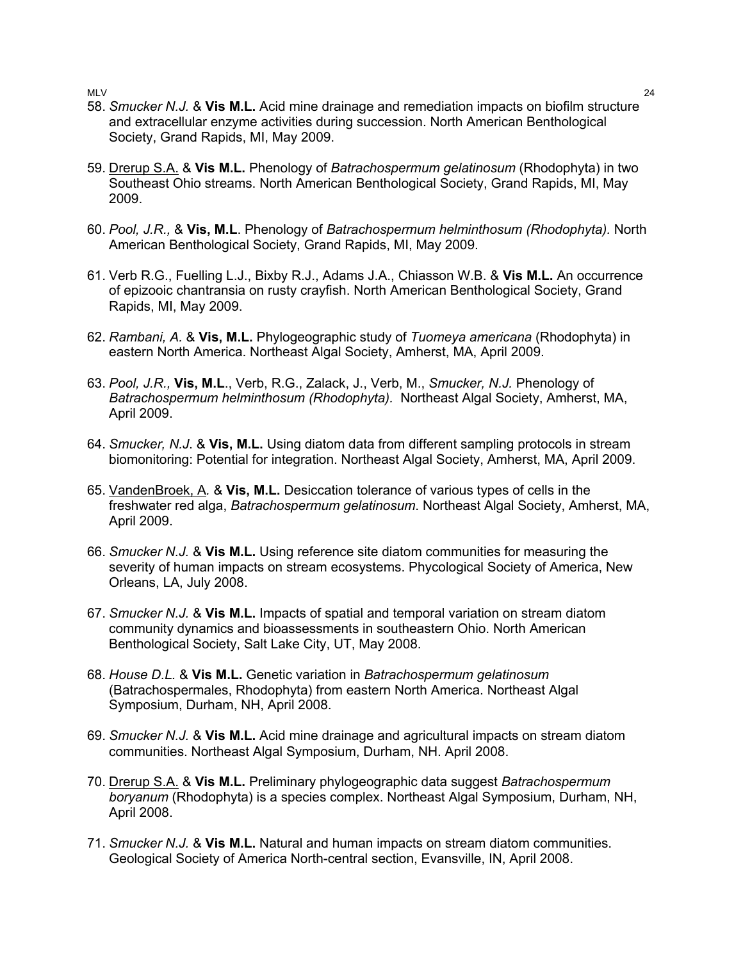- 58. *Smucker N.J.* & **Vis M.L.** Acid mine drainage and remediation impacts on biofilm structure and extracellular enzyme activities during succession. North American Benthological Society, Grand Rapids, MI, May 2009.
- 59. Drerup S.A. & **Vis M.L.** Phenology of *Batrachospermum gelatinosum* (Rhodophyta) in two Southeast Ohio streams. North American Benthological Society, Grand Rapids, MI, May 2009.
- 60. *Pool, J.R.,* & **Vis, M.L**. Phenology of *Batrachospermum helminthosum (Rhodophyta).* North American Benthological Society, Grand Rapids, MI, May 2009.
- 61. Verb R.G., Fuelling L.J., Bixby R.J., Adams J.A., Chiasson W.B. & **Vis M.L.** An occurrence of epizooic chantransia on rusty crayfish. North American Benthological Society, Grand Rapids, MI, May 2009.
- 62. *Rambani, A.* & **Vis, M.L.** Phylogeographic study of *Tuomeya americana* (Rhodophyta) in eastern North America. Northeast Algal Society, Amherst, MA, April 2009.
- 63. *Pool, J.R.,* **Vis, M.L**., Verb, R.G., Zalack, J., Verb, M., *Smucker, N.J.* Phenology of *Batrachospermum helminthosum (Rhodophyta).* Northeast Algal Society, Amherst, MA, April 2009.
- 64. *Smucker, N.J*. & **Vis, M.L.** Using diatom data from different sampling protocols in stream biomonitoring: Potential for integration. Northeast Algal Society, Amherst, MA, April 2009.
- 65. VandenBroek, A*.* & **Vis, M.L.** Desiccation tolerance of various types of cells in the freshwater red alga, *Batrachospermum gelatinosum*. Northeast Algal Society, Amherst, MA, April 2009.
- 66. *Smucker N.J.* & **Vis M.L.** Using reference site diatom communities for measuring the severity of human impacts on stream ecosystems. Phycological Society of America, New Orleans, LA, July 2008.
- 67. *Smucker N.J.* & **Vis M.L.** Impacts of spatial and temporal variation on stream diatom community dynamics and bioassessments in southeastern Ohio. North American Benthological Society, Salt Lake City, UT, May 2008.
- 68. *House D.L.* & **Vis M.L.** Genetic variation in *Batrachospermum gelatinosum* (Batrachospermales, Rhodophyta) from eastern North America. Northeast Algal Symposium, Durham, NH, April 2008.
- 69. *Smucker N.J.* & **Vis M.L.** Acid mine drainage and agricultural impacts on stream diatom communities. Northeast Algal Symposium, Durham, NH. April 2008.
- 70. Drerup S.A. & **Vis M.L.** Preliminary phylogeographic data suggest *Batrachospermum boryanum* (Rhodophyta) is a species complex. Northeast Algal Symposium, Durham, NH, April 2008.
- 71. *Smucker N.J.* & **Vis M.L.** Natural and human impacts on stream diatom communities. Geological Society of America North-central section, Evansville, IN, April 2008.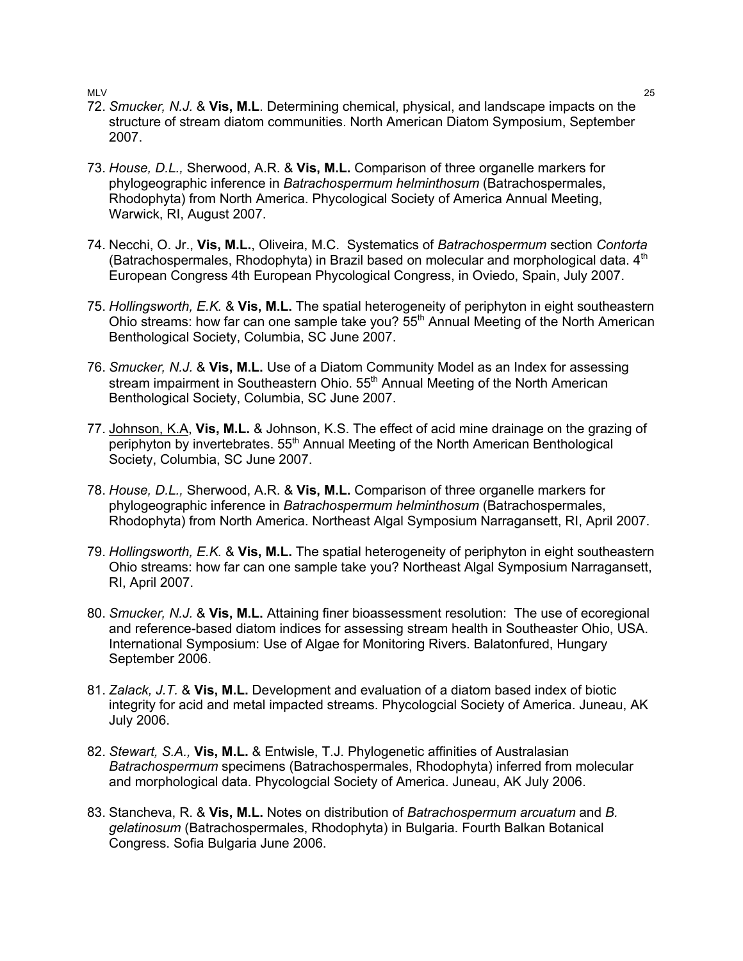- $MLV$  and the contract of the contract of the contract of the contract of the contract of the contract of the contract of the contract of the contract of the contract of the contract of the contract of the contract of the 72. *Smucker, N.J.* & **Vis, M.L**. Determining chemical, physical, and landscape impacts on the structure of stream diatom communities. North American Diatom Symposium, September 2007.
- 73. *House, D.L.,* Sherwood, A.R. & **Vis, M.L.** Comparison of three organelle markers for phylogeographic inference in *Batrachospermum helminthosum* (Batrachospermales, Rhodophyta) from North America. Phycological Society of America Annual Meeting, Warwick, RI, August 2007.
- 74. Necchi, O. Jr., **Vis, M.L.**, Oliveira, M.C. Systematics of *Batrachospermum* section *Contorta* (Batrachospermales, Rhodophyta) in Brazil based on molecular and morphological data.  $4<sup>th</sup>$ European Congress 4th European Phycological Congress, in Oviedo, Spain, July 2007.
- 75. *Hollingsworth, E.K.* & **Vis, M.L.** The spatial heterogeneity of periphyton in eight southeastern Ohio streams: how far can one sample take you? 55<sup>th</sup> Annual Meeting of the North American Benthological Society, Columbia, SC June 2007.
- 76. *Smucker, N.J.* & **Vis, M.L.** Use of a Diatom Community Model as an Index for assessing stream impairment in Southeastern Ohio. 55<sup>th</sup> Annual Meeting of the North American Benthological Society, Columbia, SC June 2007.
- 77. Johnson, K.A, **Vis, M.L.** & Johnson, K.S. The effect of acid mine drainage on the grazing of periphyton by invertebrates. 55<sup>th</sup> Annual Meeting of the North American Benthological Society, Columbia, SC June 2007.
- 78. *House, D.L.,* Sherwood, A.R. & **Vis, M.L.** Comparison of three organelle markers for phylogeographic inference in *Batrachospermum helminthosum* (Batrachospermales, Rhodophyta) from North America. Northeast Algal Symposium Narragansett, RI, April 2007.
- 79. *Hollingsworth, E.K.* & **Vis, M.L.** The spatial heterogeneity of periphyton in eight southeastern Ohio streams: how far can one sample take you? Northeast Algal Symposium Narragansett, RI, April 2007.
- 80. *Smucker, N.J.* & **Vis, M.L.** Attaining finer bioassessment resolution: The use of ecoregional and reference-based diatom indices for assessing stream health in Southeaster Ohio, USA. International Symposium: Use of Algae for Monitoring Rivers. Balatonfured, Hungary September 2006.
- 81. *Zalack, J.T.* & **Vis, M.L.** Development and evaluation of a diatom based index of biotic integrity for acid and metal impacted streams. Phycologcial Society of America. Juneau, AK July 2006.
- 82. *Stewart, S.A.,* **Vis, M.L.** & Entwisle, T.J. Phylogenetic affinities of Australasian *Batrachospermum* specimens (Batrachospermales, Rhodophyta) inferred from molecular and morphological data. Phycologcial Society of America. Juneau, AK July 2006.
- 83. Stancheva, R. & **Vis, M.L.** Notes on distribution of *Batrachospermum arcuatum* and *B. gelatinosum* (Batrachospermales, Rhodophyta) in Bulgaria. Fourth Balkan Botanical Congress. Sofia Bulgaria June 2006.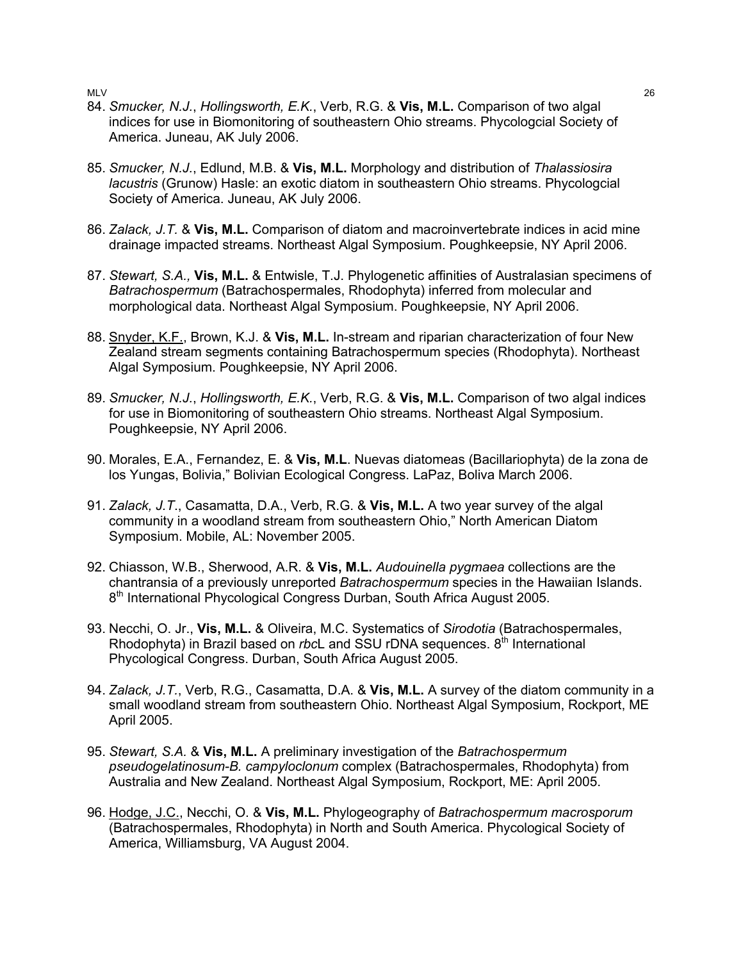MLV  $\,$  26

- 84. *Smucker, N.J.*, *Hollingsworth, E.K.*, Verb, R.G. & **Vis, M.L.** Comparison of two algal indices for use in Biomonitoring of southeastern Ohio streams. Phycologcial Society of America. Juneau, AK July 2006.
- 85. *Smucker, N.J.*, Edlund, M.B. & **Vis, M.L.** Morphology and distribution of *Thalassiosira lacustris* (Grunow) Hasle: an exotic diatom in southeastern Ohio streams. Phycologcial Society of America. Juneau, AK July 2006.
- 86. *Zalack, J.T.* & **Vis, M.L.** Comparison of diatom and macroinvertebrate indices in acid mine drainage impacted streams. Northeast Algal Symposium. Poughkeepsie, NY April 2006.
- 87. *Stewart, S.A.,* **Vis, M.L.** & Entwisle, T.J. Phylogenetic affinities of Australasian specimens of *Batrachospermum* (Batrachospermales, Rhodophyta) inferred from molecular and morphological data. Northeast Algal Symposium. Poughkeepsie, NY April 2006.
- 88. Snyder, K.F., Brown, K.J. & **Vis, M.L.** In-stream and riparian characterization of four New Zealand stream segments containing Batrachospermum species (Rhodophyta). Northeast Algal Symposium. Poughkeepsie, NY April 2006.
- 89. *Smucker, N.J.*, *Hollingsworth, E.K.*, Verb, R.G. & **Vis, M.L.** Comparison of two algal indices for use in Biomonitoring of southeastern Ohio streams. Northeast Algal Symposium. Poughkeepsie, NY April 2006.
- 90. Morales, E.A., Fernandez, E. & **Vis, M.L**. Nuevas diatomeas (Bacillariophyta) de la zona de los Yungas, Bolivia," Bolivian Ecological Congress. LaPaz, Boliva March 2006.
- 91. *Zalack, J.T*., Casamatta, D.A., Verb, R.G. & **Vis, M.L.** A two year survey of the algal community in a woodland stream from southeastern Ohio," North American Diatom Symposium. Mobile, AL: November 2005.
- 92. Chiasson, W.B., Sherwood, A.R. & **Vis, M.L.** *Audouinella pygmaea* collections are the chantransia of a previously unreported *Batrachospermum* species in the Hawaiian Islands. 8<sup>th</sup> International Phycological Congress Durban, South Africa August 2005.
- 93. Necchi, O. Jr., **Vis, M.L.** & Oliveira, M.C. Systematics of *Sirodotia* (Batrachospermales, Rhodophyta) in Brazil based on *rbc*L and SSU rDNA sequences. 8<sup>th</sup> International Phycological Congress. Durban, South Africa August 2005.
- 94. *Zalack, J.T.*, Verb, R.G., Casamatta, D.A. & **Vis, M.L.** A survey of the diatom community in a small woodland stream from southeastern Ohio. Northeast Algal Symposium, Rockport, ME April 2005.
- 95. *Stewart, S.A.* & **Vis, M.L.** A preliminary investigation of the *Batrachospermum pseudogelatinosum-B. campyloclonum* complex (Batrachospermales, Rhodophyta) from Australia and New Zealand. Northeast Algal Symposium, Rockport, ME: April 2005.
- 96. Hodge, J.C., Necchi, O. & **Vis, M.L.** Phylogeography of *Batrachospermum macrosporum* (Batrachospermales, Rhodophyta) in North and South America. Phycological Society of America, Williamsburg, VA August 2004.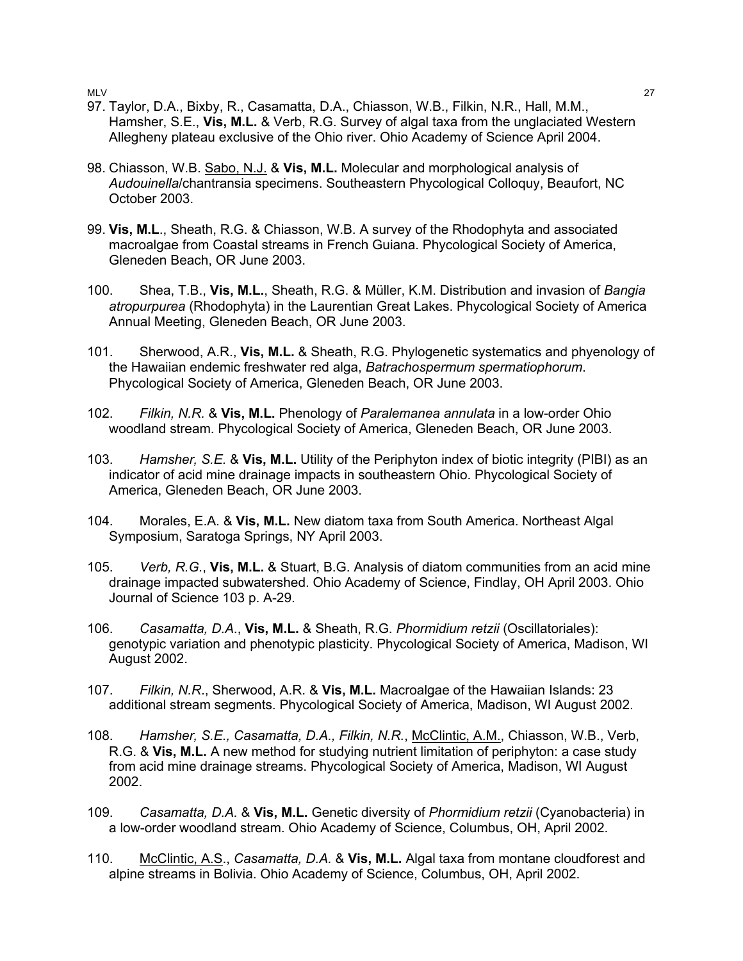- 97. Taylor, D.A., Bixby, R., Casamatta, D.A., Chiasson, W.B., Filkin, N.R., Hall, M.M., Hamsher, S.E., **Vis, M.L.** & Verb, R.G. Survey of algal taxa from the unglaciated Western Allegheny plateau exclusive of the Ohio river. Ohio Academy of Science April 2004.
- 98. Chiasson, W.B. Sabo, N.J. & **Vis, M.L.** Molecular and morphological analysis of *Audouinella*/chantransia specimens. Southeastern Phycological Colloquy, Beaufort, NC October 2003.
- 99. **Vis, M.L**., Sheath, R.G. & Chiasson, W.B. A survey of the Rhodophyta and associated macroalgae from Coastal streams in French Guiana. Phycological Society of America, Gleneden Beach, OR June 2003.
- 100. Shea, T.B., **Vis, M.L.**, Sheath, R.G. & Müller, K.M. Distribution and invasion of *Bangia atropurpurea* (Rhodophyta) in the Laurentian Great Lakes. Phycological Society of America Annual Meeting, Gleneden Beach, OR June 2003.
- 101. Sherwood, A.R., **Vis, M.L.** & Sheath, R.G. Phylogenetic systematics and phyenology of the Hawaiian endemic freshwater red alga, *Batrachospermum spermatiophorum*. Phycological Society of America, Gleneden Beach, OR June 2003.
- 102. *Filkin, N.R.* & **Vis, M.L.** Phenology of *Paralemanea annulata* in a low-order Ohio woodland stream. Phycological Society of America, Gleneden Beach, OR June 2003.
- 103. *Hamsher, S.E.* & **Vis, M.L.** Utility of the Periphyton index of biotic integrity (PIBI) as an indicator of acid mine drainage impacts in southeastern Ohio. Phycological Society of America, Gleneden Beach, OR June 2003.
- 104. Morales, E.A. & **Vis, M.L.** New diatom taxa from South America. Northeast Algal Symposium, Saratoga Springs, NY April 2003.
- 105. *Verb, R.G.*, **Vis, M.L.** & Stuart, B.G. Analysis of diatom communities from an acid mine drainage impacted subwatershed. Ohio Academy of Science, Findlay, OH April 2003. Ohio Journal of Science 103 p. A-29.
- 106. *Casamatta, D.A*., **Vis, M.L.** & Sheath, R.G. *Phormidium retzii* (Oscillatoriales): genotypic variation and phenotypic plasticity. Phycological Society of America, Madison, WI August 2002.
- 107. *Filkin, N.R*., Sherwood, A.R. & **Vis, M.L.** Macroalgae of the Hawaiian Islands: 23 additional stream segments. Phycological Society of America, Madison, WI August 2002.
- 108. *Hamsher, S.E., Casamatta, D.A., Filkin, N.R.*, McClintic, A.M., Chiasson, W.B., Verb, R.G. & **Vis, M.L.** A new method for studying nutrient limitation of periphyton: a case study from acid mine drainage streams. Phycological Society of America, Madison, WI August 2002.
- 109. *Casamatta, D.A.* & **Vis, M.L.** Genetic diversity of *Phormidium retzii* (Cyanobacteria) in a low-order woodland stream. Ohio Academy of Science, Columbus, OH, April 2002.
- 110. McClintic, A.S., *Casamatta, D.A.* & **Vis, M.L.** Algal taxa from montane cloudforest and alpine streams in Bolivia. Ohio Academy of Science, Columbus, OH, April 2002.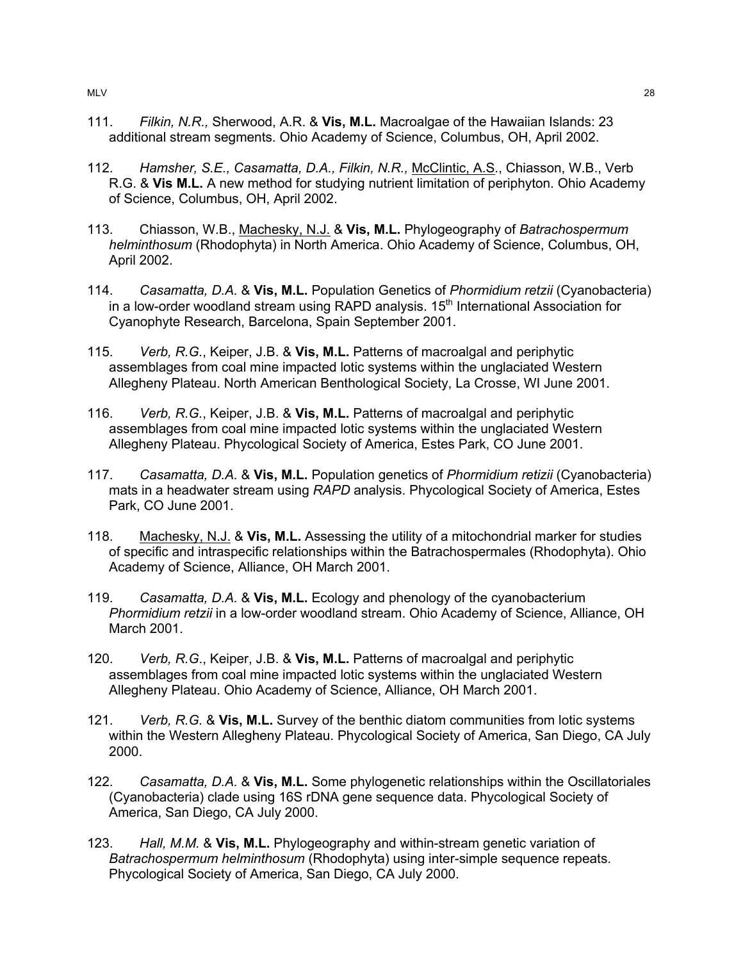- 111. *Filkin, N.R.,* Sherwood, A.R. & **Vis, M.L.** Macroalgae of the Hawaiian Islands: 23 additional stream segments. Ohio Academy of Science, Columbus, OH, April 2002.
- 112. *Hamsher, S.E., Casamatta, D.A., Filkin, N.R.,* McClintic, A.S., Chiasson, W.B., Verb R.G. & **Vis M.L.** A new method for studying nutrient limitation of periphyton. Ohio Academy of Science, Columbus, OH, April 2002.
- 113. Chiasson, W.B., Machesky, N.J. & **Vis, M.L.** Phylogeography of *Batrachospermum helminthosum* (Rhodophyta) in North America. Ohio Academy of Science, Columbus, OH, April 2002.
- 114. *Casamatta, D.A.* & **Vis, M.L.** Population Genetics of *Phormidium retzii* (Cyanobacteria) in a low-order woodland stream using RAPD analysis. 15<sup>th</sup> International Association for Cyanophyte Research, Barcelona, Spain September 2001.
- 115. *Verb, R.G.*, Keiper, J.B. & **Vis, M.L.** Patterns of macroalgal and periphytic assemblages from coal mine impacted lotic systems within the unglaciated Western Allegheny Plateau. North American Benthological Society, La Crosse, WI June 2001.
- 116. *Verb, R.G.*, Keiper, J.B. & **Vis, M.L.** Patterns of macroalgal and periphytic assemblages from coal mine impacted lotic systems within the unglaciated Western Allegheny Plateau. Phycological Society of America, Estes Park, CO June 2001.
- 117. *Casamatta, D.A.* & **Vis, M.L.** Population genetics of *Phormidium retizii* (Cyanobacteria) mats in a headwater stream using *RAPD* analysis. Phycological Society of America, Estes Park, CO June 2001.
- 118. Machesky, N.J. & **Vis, M.L.** Assessing the utility of a mitochondrial marker for studies of specific and intraspecific relationships within the Batrachospermales (Rhodophyta). Ohio Academy of Science, Alliance, OH March 2001.
- 119. *Casamatta, D.A.* & **Vis, M.L.** Ecology and phenology of the cyanobacterium *Phormidium retzii* in a low-order woodland stream. Ohio Academy of Science, Alliance, OH March 2001.
- 120. *Verb, R.G*., Keiper, J.B. & **Vis, M.L.** Patterns of macroalgal and periphytic assemblages from coal mine impacted lotic systems within the unglaciated Western Allegheny Plateau. Ohio Academy of Science, Alliance, OH March 2001.
- 121. *Verb, R.G.* & **Vis, M.L.** Survey of the benthic diatom communities from lotic systems within the Western Allegheny Plateau. Phycological Society of America, San Diego, CA July 2000.
- 122. *Casamatta, D.A.* & **Vis, M.L.** Some phylogenetic relationships within the Oscillatoriales (Cyanobacteria) clade using 16S rDNA gene sequence data. Phycological Society of America, San Diego, CA July 2000.
- 123. *Hall, M.M.* & **Vis, M.L.** Phylogeography and within-stream genetic variation of *Batrachospermum helminthosum* (Rhodophyta) using inter-simple sequence repeats. Phycological Society of America, San Diego, CA July 2000.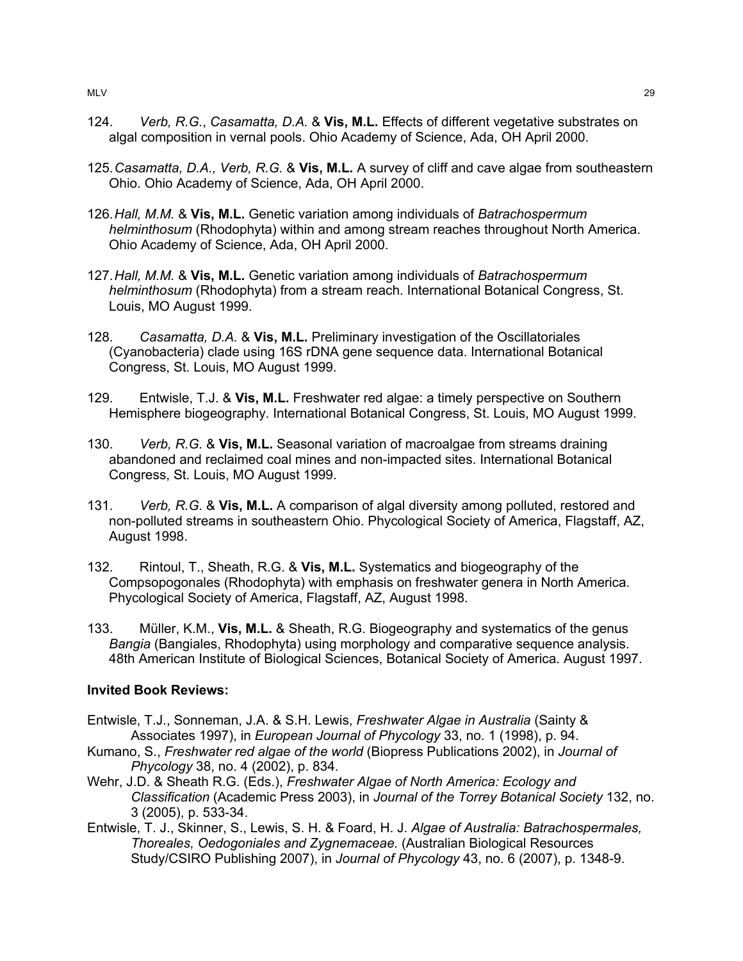- 124. *Verb, R.G.*, *Casamatta, D.A.* & **Vis, M.L.** Effects of different vegetative substrates on algal composition in vernal pools. Ohio Academy of Science, Ada, OH April 2000.
- 125.*Casamatta, D.A., Verb, R.G.* & **Vis, M.L.** A survey of cliff and cave algae from southeastern Ohio. Ohio Academy of Science, Ada, OH April 2000.
- 126.*Hall, M.M.* & **Vis, M.L.** Genetic variation among individuals of *Batrachospermum helminthosum* (Rhodophyta) within and among stream reaches throughout North America. Ohio Academy of Science, Ada, OH April 2000.
- 127.*Hall, M.M.* & **Vis, M.L.** Genetic variation among individuals of *Batrachospermum helminthosum* (Rhodophyta) from a stream reach. International Botanical Congress, St. Louis, MO August 1999.
- 128. *Casamatta, D.A.* & **Vis, M.L.** Preliminary investigation of the Oscillatoriales (Cyanobacteria) clade using 16S rDNA gene sequence data. International Botanical Congress, St. Louis, MO August 1999.
- 129. Entwisle, T.J. & **Vis, M.L.** Freshwater red algae: a timely perspective on Southern Hemisphere biogeography. International Botanical Congress, St. Louis, MO August 1999.
- 130. *Verb, R.G.* & **Vis, M.L.** Seasonal variation of macroalgae from streams draining abandoned and reclaimed coal mines and non-impacted sites. International Botanical Congress, St. Louis, MO August 1999.
- 131. *Verb, R.G.* & **Vis, M.L.** A comparison of algal diversity among polluted, restored and non-polluted streams in southeastern Ohio. Phycological Society of America, Flagstaff, AZ, August 1998.
- 132. Rintoul, T., Sheath, R.G. & **Vis, M.L.** Systematics and biogeography of the Compsopogonales (Rhodophyta) with emphasis on freshwater genera in North America. Phycological Society of America, Flagstaff, AZ, August 1998.
- 133. Müller, K.M., **Vis, M.L.** & Sheath, R.G. Biogeography and systematics of the genus *Bangia* (Bangiales, Rhodophyta) using morphology and comparative sequence analysis. 48th American Institute of Biological Sciences, Botanical Society of America. August 1997.

#### **Invited Book Reviews:**

- Entwisle, T.J., Sonneman, J.A. & S.H. Lewis, *Freshwater Algae in Australia* (Sainty & Associates 1997), in *European Journal of Phycology* 33, no. 1 (1998), p. 94.
- Kumano, S., *Freshwater red algae of the world* (Biopress Publications 2002), in *Journal of Phycology* 38, no. 4 (2002), p. 834.
- Wehr, J.D. & Sheath R.G. (Eds.), *Freshwater Algae of North America: Ecology and Classification* (Academic Press 2003), in *Journal of the Torrey Botanical Society* 132, no. 3 (2005), p. 533-34.
- Entwisle, T. J., Skinner, S., Lewis, S. H. & Foard, H. J. *Algae of Australia: Batrachospermales, Thoreales, Oedogoniales and Zygnemaceae.* (Australian Biological Resources Study/CSIRO Publishing 2007), in *Journal of Phycology* 43, no. 6 (2007), p. 1348-9.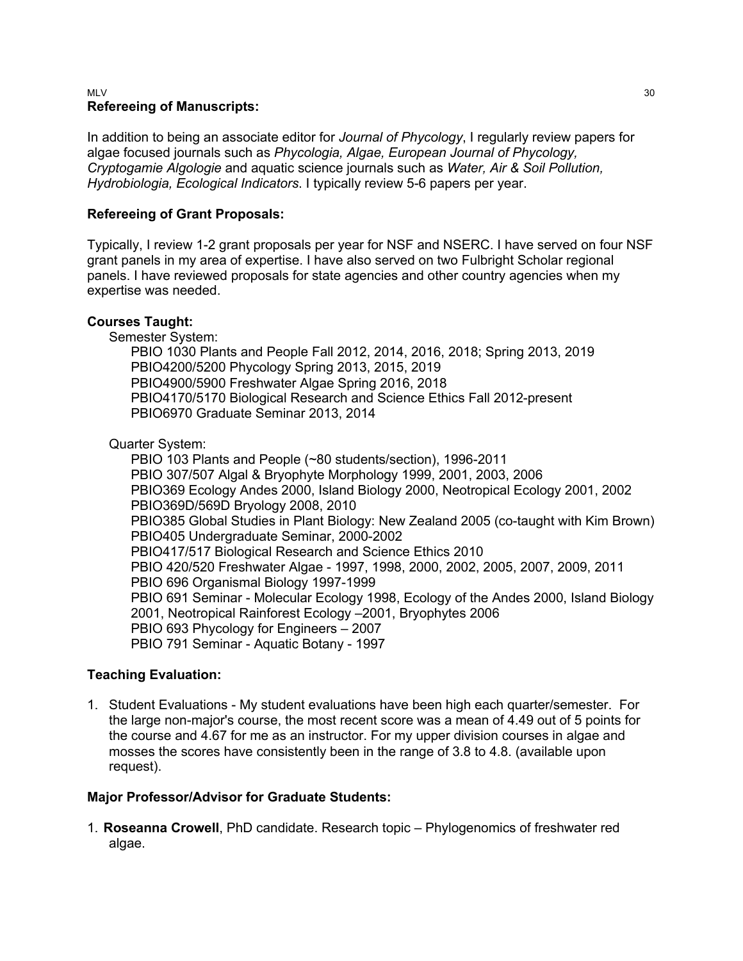#### $MLV$  30 **Refereeing of Manuscripts:**

In addition to being an associate editor for *Journal of Phycology*, I regularly review papers for algae focused journals such as *Phycologia, Algae, European Journal of Phycology, Cryptogamie Algologie* and aquatic science journals such as *Water, Air & Soil Pollution, Hydrobiologia, Ecological Indicators*. I typically review 5-6 papers per year.

## **Refereeing of Grant Proposals:**

Typically, I review 1-2 grant proposals per year for NSF and NSERC. I have served on four NSF grant panels in my area of expertise. I have also served on two Fulbright Scholar regional panels. I have reviewed proposals for state agencies and other country agencies when my expertise was needed.

## **Courses Taught:**

Semester System:

PBIO 1030 Plants and People Fall 2012, 2014, 2016, 2018; Spring 2013, 2019 PBIO4200/5200 Phycology Spring 2013, 2015, 2019 PBIO4900/5900 Freshwater Algae Spring 2016, 2018 PBIO4170/5170 Biological Research and Science Ethics Fall 2012-present PBIO6970 Graduate Seminar 2013, 2014

## Quarter System:

PBIO 103 Plants and People (~80 students/section), 1996-2011 PBIO 307/507 Algal & Bryophyte Morphology 1999, 2001, 2003, 2006 PBIO369 Ecology Andes 2000, Island Biology 2000, Neotropical Ecology 2001, 2002 PBIO369D/569D Bryology 2008, 2010 PBIO385 Global Studies in Plant Biology: New Zealand 2005 (co-taught with Kim Brown) PBIO405 Undergraduate Seminar, 2000-2002 PBIO417/517 Biological Research and Science Ethics 2010 PBIO 420/520 Freshwater Algae - 1997, 1998, 2000, 2002, 2005, 2007, 2009, 2011 PBIO 696 Organismal Biology 1997-1999 PBIO 691 Seminar - Molecular Ecology 1998, Ecology of the Andes 2000, Island Biology 2001, Neotropical Rainforest Ecology –2001, Bryophytes 2006 PBIO 693 Phycology for Engineers – 2007 PBIO 791 Seminar - Aquatic Botany - 1997

## **Teaching Evaluation:**

1. Student Evaluations - My student evaluations have been high each quarter/semester. For the large non-major's course, the most recent score was a mean of 4.49 out of 5 points for the course and 4.67 for me as an instructor. For my upper division courses in algae and mosses the scores have consistently been in the range of 3.8 to 4.8. (available upon request).

## **Major Professor/Advisor for Graduate Students:**

1. **Roseanna Crowell**, PhD candidate. Research topic – Phylogenomics of freshwater red algae.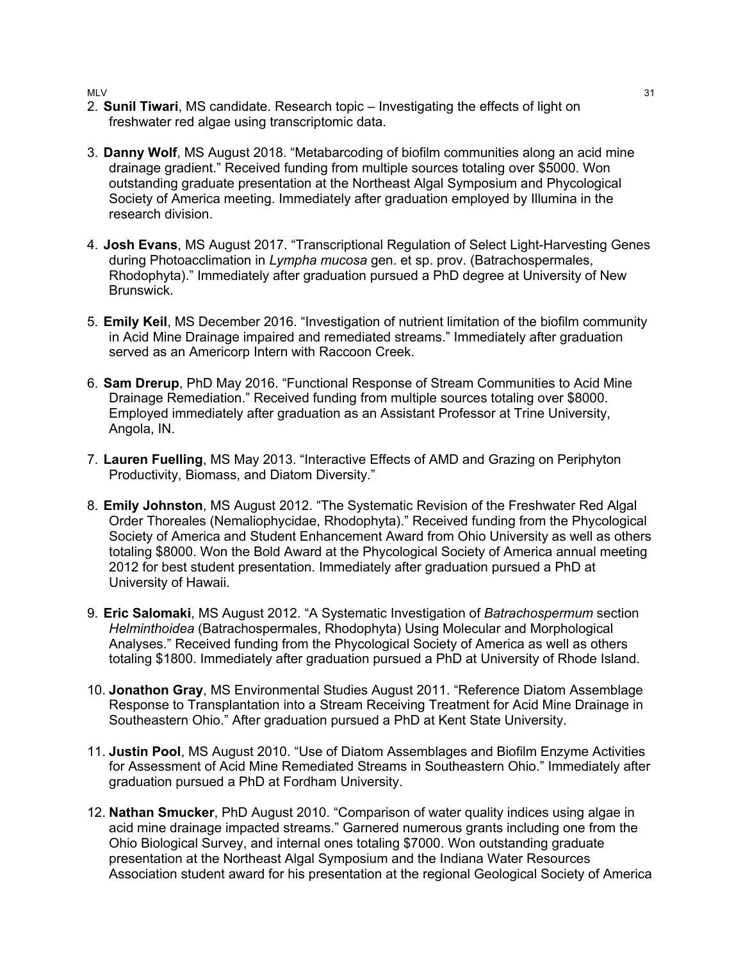- 2. **Sunil Tiwari**, MS candidate. Research topic Investigating the effects of light on freshwater red algae using transcriptomic data.
- 3. **Danny Wolf**, MS August 2018. "Metabarcoding of biofilm communities along an acid mine drainage gradient." Received funding from multiple sources totaling over \$5000. Won outstanding graduate presentation at the Northeast Algal Symposium and Phycological Society of America meeting. Immediately after graduation employed by Illumina in the research division.
- 4. **Josh Evans**, MS August 2017. "Transcriptional Regulation of Select Light-Harvesting Genes during Photoacclimation in *Lympha mucosa* gen. et sp. prov. (Batrachospermales, Rhodophyta)." Immediately after graduation pursued a PhD degree at University of New Brunswick.
- 5. **Emily Keil**, MS December 2016. "Investigation of nutrient limitation of the biofilm community in Acid Mine Drainage impaired and remediated streams." Immediately after graduation served as an Americorp Intern with Raccoon Creek.
- 6. **Sam Drerup**, PhD May 2016. "Functional Response of Stream Communities to Acid Mine Drainage Remediation." Received funding from multiple sources totaling over \$8000. Employed immediately after graduation as an Assistant Professor at Trine University, Angola, IN.
- 7. **Lauren Fuelling**, MS May 2013. "Interactive Effects of AMD and Grazing on Periphyton Productivity, Biomass, and Diatom Diversity."
- 8. **Emily Johnston**, MS August 2012. "The Systematic Revision of the Freshwater Red Algal Order Thoreales (Nemaliophycidae, Rhodophyta)." Received funding from the Phycological Society of America and Student Enhancement Award from Ohio University as well as others totaling \$8000. Won the Bold Award at the Phycological Society of America annual meeting 2012 for best student presentation. Immediately after graduation pursued a PhD at University of Hawaii.
- 9. **Eric Salomaki**, MS August 2012. "A Systematic Investigation of *Batrachospermum* section *Helminthoidea* (Batrachospermales, Rhodophyta) Using Molecular and Morphological Analyses." Received funding from the Phycological Society of America as well as others totaling \$1800. Immediately after graduation pursued a PhD at University of Rhode Island.
- 10. **Jonathon Gray**, MS Environmental Studies August 2011. "Reference Diatom Assemblage Response to Transplantation into a Stream Receiving Treatment for Acid Mine Drainage in Southeastern Ohio." After graduation pursued a PhD at Kent State University.
- 11. **Justin Pool**, MS August 2010. "Use of Diatom Assemblages and Biofilm Enzyme Activities for Assessment of Acid Mine Remediated Streams in Southeastern Ohio." Immediately after graduation pursued a PhD at Fordham University.
- 12. **Nathan Smucker**, PhD August 2010. "Comparison of water quality indices using algae in acid mine drainage impacted streams." Garnered numerous grants including one from the Ohio Biological Survey, and internal ones totaling \$7000. Won outstanding graduate presentation at the Northeast Algal Symposium and the Indiana Water Resources Association student award for his presentation at the regional Geological Society of America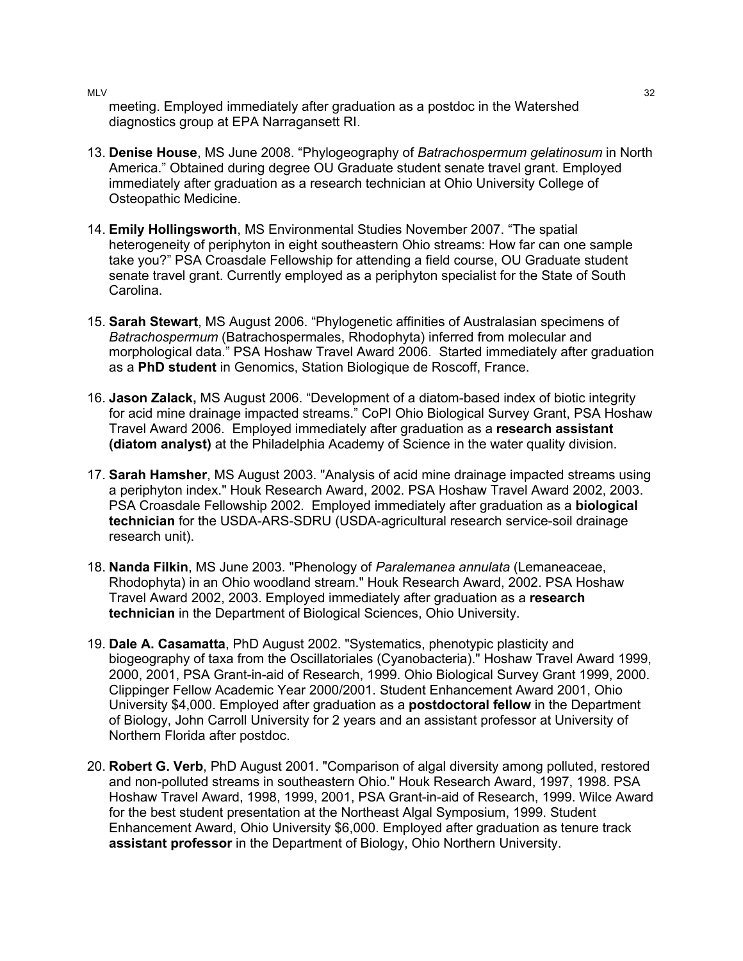$MLV$  32 meeting. Employed immediately after graduation as a postdoc in the Watershed diagnostics group at EPA Narragansett RI.

- 13. **Denise House**, MS June 2008. "Phylogeography of *Batrachospermum gelatinosum* in North America." Obtained during degree OU Graduate student senate travel grant. Employed immediately after graduation as a research technician at Ohio University College of Osteopathic Medicine.
- 14. **Emily Hollingsworth**, MS Environmental Studies November 2007. "The spatial heterogeneity of periphyton in eight southeastern Ohio streams: How far can one sample take you?" PSA Croasdale Fellowship for attending a field course, OU Graduate student senate travel grant. Currently employed as a periphyton specialist for the State of South Carolina.
- 15. **Sarah Stewart**, MS August 2006. "Phylogenetic affinities of Australasian specimens of *Batrachospermum* (Batrachospermales, Rhodophyta) inferred from molecular and morphological data." PSA Hoshaw Travel Award 2006. Started immediately after graduation as a **PhD student** in Genomics, Station Biologique de Roscoff, France.
- 16. **Jason Zalack,** MS August 2006. "Development of a diatom-based index of biotic integrity for acid mine drainage impacted streams." CoPI Ohio Biological Survey Grant, PSA Hoshaw Travel Award 2006. Employed immediately after graduation as a **research assistant (diatom analyst)** at the Philadelphia Academy of Science in the water quality division.
- 17. **Sarah Hamsher**, MS August 2003. "Analysis of acid mine drainage impacted streams using a periphyton index." Houk Research Award, 2002. PSA Hoshaw Travel Award 2002, 2003. PSA Croasdale Fellowship 2002. Employed immediately after graduation as a **biological technician** for the USDA-ARS-SDRU (USDA-agricultural research service-soil drainage research unit).
- 18. **Nanda Filkin**, MS June 2003. "Phenology of *Paralemanea annulata* (Lemaneaceae, Rhodophyta) in an Ohio woodland stream." Houk Research Award, 2002. PSA Hoshaw Travel Award 2002, 2003. Employed immediately after graduation as a **research technician** in the Department of Biological Sciences, Ohio University.
- 19. **Dale A. Casamatta**, PhD August 2002. "Systematics, phenotypic plasticity and biogeography of taxa from the Oscillatoriales (Cyanobacteria)." Hoshaw Travel Award 1999, 2000, 2001, PSA Grant-in-aid of Research, 1999. Ohio Biological Survey Grant 1999, 2000. Clippinger Fellow Academic Year 2000/2001. Student Enhancement Award 2001, Ohio University \$4,000. Employed after graduation as a **postdoctoral fellow** in the Department of Biology, John Carroll University for 2 years and an assistant professor at University of Northern Florida after postdoc.
- 20. **Robert G. Verb**, PhD August 2001. "Comparison of algal diversity among polluted, restored and non-polluted streams in southeastern Ohio." Houk Research Award, 1997, 1998. PSA Hoshaw Travel Award, 1998, 1999, 2001, PSA Grant-in-aid of Research, 1999. Wilce Award for the best student presentation at the Northeast Algal Symposium, 1999. Student Enhancement Award, Ohio University \$6,000. Employed after graduation as tenure track **assistant professor** in the Department of Biology, Ohio Northern University.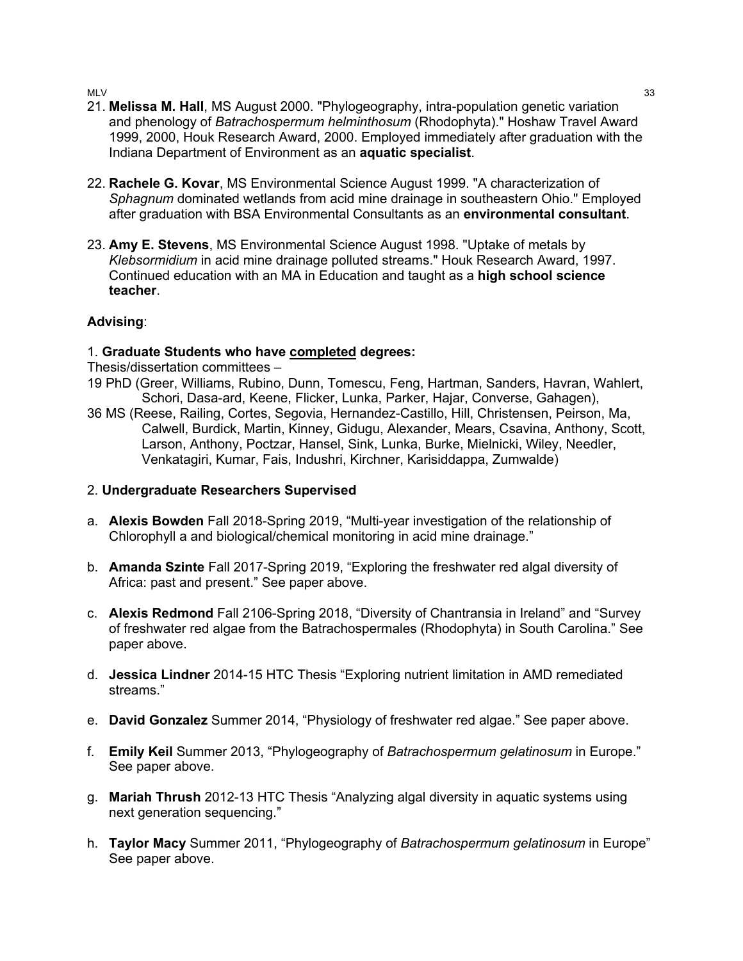- $MLV$  33 21. **Melissa M. Hall**, MS August 2000. "Phylogeography, intra-population genetic variation and phenology of *Batrachospermum helminthosum* (Rhodophyta)." Hoshaw Travel Award 1999, 2000, Houk Research Award, 2000. Employed immediately after graduation with the Indiana Department of Environment as an **aquatic specialist**.
- 22. **Rachele G. Kovar**, MS Environmental Science August 1999. "A characterization of *Sphagnum* dominated wetlands from acid mine drainage in southeastern Ohio." Employed after graduation with BSA Environmental Consultants as an **environmental consultant**.
- 23. **Amy E. Stevens**, MS Environmental Science August 1998. "Uptake of metals by *Klebsormidium* in acid mine drainage polluted streams." Houk Research Award, 1997. Continued education with an MA in Education and taught as a **high school science teacher**.

# **Advising**:

## 1. **Graduate Students who have completed degrees:**

Thesis/dissertation committees –

- 19 PhD (Greer, Williams, Rubino, Dunn, Tomescu, Feng, Hartman, Sanders, Havran, Wahlert, Schori, Dasa-ard, Keene, Flicker, Lunka, Parker, Hajar, Converse, Gahagen),
- 36 MS (Reese, Railing, Cortes, Segovia, Hernandez-Castillo, Hill, Christensen, Peirson, Ma, Calwell, Burdick, Martin, Kinney, Gidugu, Alexander, Mears, Csavina, Anthony, Scott, Larson, Anthony, Poctzar, Hansel, Sink, Lunka, Burke, Mielnicki, Wiley, Needler, Venkatagiri, Kumar, Fais, Indushri, Kirchner, Karisiddappa, Zumwalde)

# 2. **Undergraduate Researchers Supervised**

- a. **Alexis Bowden** Fall 2018-Spring 2019, "Multi-year investigation of the relationship of Chlorophyll a and biological/chemical monitoring in acid mine drainage."
- b. **Amanda Szinte** Fall 2017-Spring 2019, "Exploring the freshwater red algal diversity of Africa: past and present." See paper above.
- c. **Alexis Redmond** Fall 2106-Spring 2018, "Diversity of Chantransia in Ireland" and "Survey of freshwater red algae from the Batrachospermales (Rhodophyta) in South Carolina." See paper above.
- d. **Jessica Lindner** 2014-15 HTC Thesis "Exploring nutrient limitation in AMD remediated streams."
- e. **David Gonzalez** Summer 2014, "Physiology of freshwater red algae." See paper above.
- f. **Emily Keil** Summer 2013, "Phylogeography of *Batrachospermum gelatinosum* in Europe." See paper above.
- g. **Mariah Thrush** 2012-13 HTC Thesis "Analyzing algal diversity in aquatic systems using next generation sequencing."
- h. **Taylor Macy** Summer 2011, "Phylogeography of *Batrachospermum gelatinosum* in Europe" See paper above.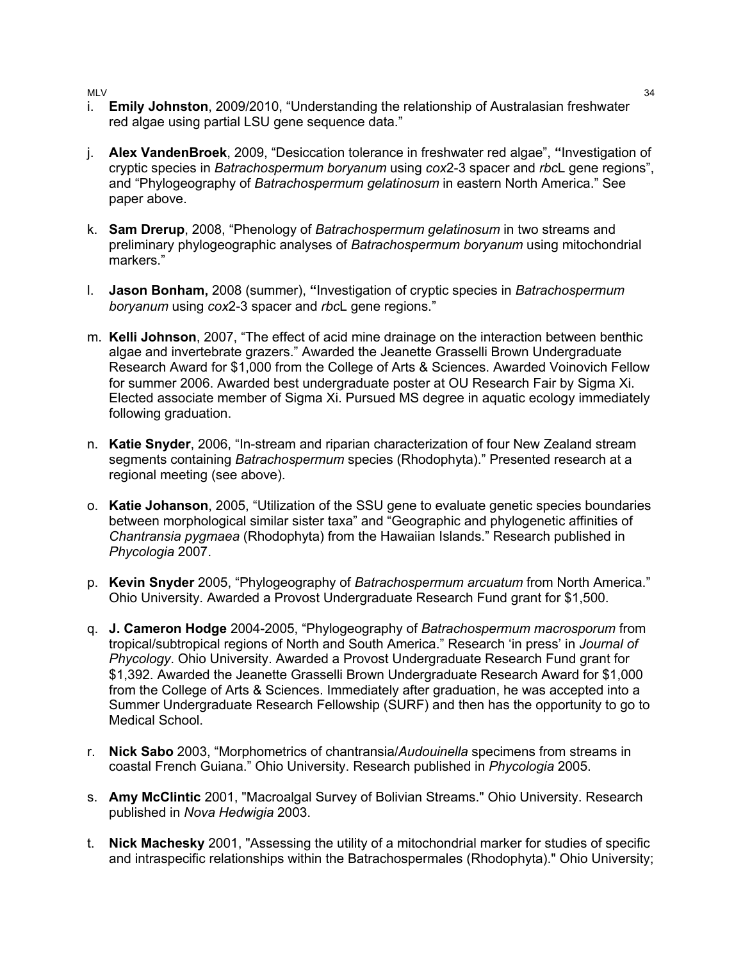- i. **Emily Johnston**, 2009/2010, "Understanding the relationship of Australasian freshwater red algae using partial LSU gene sequence data."
- j. **Alex VandenBroek**, 2009, "Desiccation tolerance in freshwater red algae", **"**Investigation of cryptic species in *Batrachospermum boryanum* using *cox*2-3 spacer and *rbc*L gene regions", and "Phylogeography of *Batrachospermum gelatinosum* in eastern North America." See paper above.
- k. **Sam Drerup**, 2008, "Phenology of *Batrachospermum gelatinosum* in two streams and preliminary phylogeographic analyses of *Batrachospermum boryanum* using mitochondrial markers."
- l. **Jason Bonham,** 2008 (summer), **"**Investigation of cryptic species in *Batrachospermum boryanum* using *cox*2-3 spacer and *rbc*L gene regions."
- m. **Kelli Johnson**, 2007, "The effect of acid mine drainage on the interaction between benthic algae and invertebrate grazers." Awarded the Jeanette Grasselli Brown Undergraduate Research Award for \$1,000 from the College of Arts & Sciences. Awarded Voinovich Fellow for summer 2006. Awarded best undergraduate poster at OU Research Fair by Sigma Xi. Elected associate member of Sigma Xi. Pursued MS degree in aquatic ecology immediately following graduation.
- n. **Katie Snyder**, 2006, "In-stream and riparian characterization of four New Zealand stream segments containing *Batrachospermum* species (Rhodophyta)." Presented research at a regional meeting (see above).
- o. **Katie Johanson**, 2005, "Utilization of the SSU gene to evaluate genetic species boundaries between morphological similar sister taxa" and "Geographic and phylogenetic affinities of *Chantransia pygmaea* (Rhodophyta) from the Hawaiian Islands." Research published in *Phycologia* 2007.
- p. **Kevin Snyder** 2005, "Phylogeography of *Batrachospermum arcuatum* from North America." Ohio University. Awarded a Provost Undergraduate Research Fund grant for \$1,500.
- q. **J. Cameron Hodge** 2004-2005, "Phylogeography of *Batrachospermum macrosporum* from tropical/subtropical regions of North and South America." Research 'in press' in *Journal of Phycology*. Ohio University. Awarded a Provost Undergraduate Research Fund grant for \$1,392. Awarded the Jeanette Grasselli Brown Undergraduate Research Award for \$1,000 from the College of Arts & Sciences. Immediately after graduation, he was accepted into a Summer Undergraduate Research Fellowship (SURF) and then has the opportunity to go to Medical School.
- r. **Nick Sabo** 2003, "Morphometrics of chantransia/*Audouinella* specimens from streams in coastal French Guiana." Ohio University. Research published in *Phycologia* 2005.
- s. **Amy McClintic** 2001, "Macroalgal Survey of Bolivian Streams." Ohio University. Research published in *Nova Hedwigia* 2003.
- t. **Nick Machesky** 2001, "Assessing the utility of a mitochondrial marker for studies of specific and intraspecific relationships within the Batrachospermales (Rhodophyta)." Ohio University;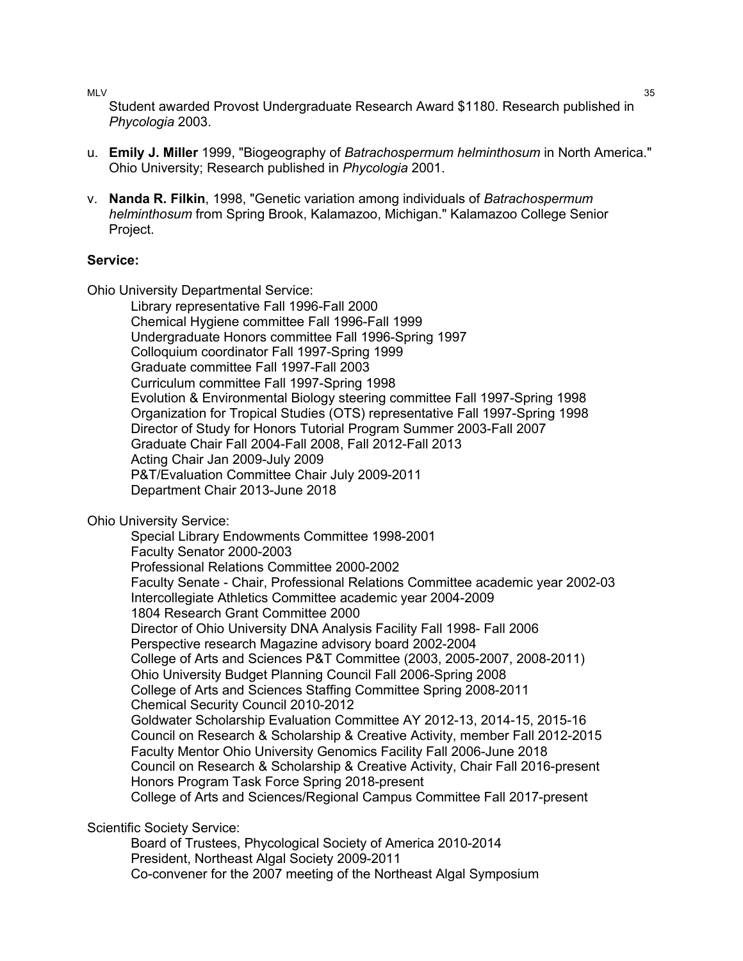$MLV$  and the state of the state of the state of the state of the state of the state of the state of the state of the state of the state of the state of the state of the state of the state of the state of the state of the

Student awarded Provost Undergraduate Research Award \$1180. Research published in *Phycologia* 2003.

- u. **Emily J. Miller** 1999, "Biogeography of *Batrachospermum helminthosum* in North America." Ohio University; Research published in *Phycologia* 2001.
- v. **Nanda R. Filkin**, 1998, "Genetic variation among individuals of *Batrachospermum helminthosum* from Spring Brook, Kalamazoo, Michigan." Kalamazoo College Senior Project.

#### **Service:**

Ohio University Departmental Service:

Library representative Fall 1996-Fall 2000 Chemical Hygiene committee Fall 1996-Fall 1999 Undergraduate Honors committee Fall 1996-Spring 1997 Colloquium coordinator Fall 1997-Spring 1999 Graduate committee Fall 1997-Fall 2003 Curriculum committee Fall 1997-Spring 1998 Evolution & Environmental Biology steering committee Fall 1997-Spring 1998 Organization for Tropical Studies (OTS) representative Fall 1997-Spring 1998 Director of Study for Honors Tutorial Program Summer 2003-Fall 2007 Graduate Chair Fall 2004-Fall 2008, Fall 2012-Fall 2013 Acting Chair Jan 2009-July 2009 P&T/Evaluation Committee Chair July 2009-2011 Department Chair 2013-June 2018

#### Ohio University Service:

Special Library Endowments Committee 1998-2001 Faculty Senator 2000-2003 Professional Relations Committee 2000-2002 Faculty Senate - Chair, Professional Relations Committee academic year 2002-03 Intercollegiate Athletics Committee academic year 2004-2009 1804 Research Grant Committee 2000 Director of Ohio University DNA Analysis Facility Fall 1998- Fall 2006 Perspective research Magazine advisory board 2002-2004 College of Arts and Sciences P&T Committee (2003, 2005-2007, 2008-2011) Ohio University Budget Planning Council Fall 2006-Spring 2008 College of Arts and Sciences Staffing Committee Spring 2008-2011 Chemical Security Council 2010-2012 Goldwater Scholarship Evaluation Committee AY 2012-13, 2014-15, 2015-16 Council on Research & Scholarship & Creative Activity, member Fall 2012-2015 Faculty Mentor Ohio University Genomics Facility Fall 2006-June 2018 Council on Research & Scholarship & Creative Activity, Chair Fall 2016-present Honors Program Task Force Spring 2018-present College of Arts and Sciences/Regional Campus Committee Fall 2017-present

Scientific Society Service:

Board of Trustees, Phycological Society of America 2010-2014 President, Northeast Algal Society 2009-2011 Co-convener for the 2007 meeting of the Northeast Algal Symposium